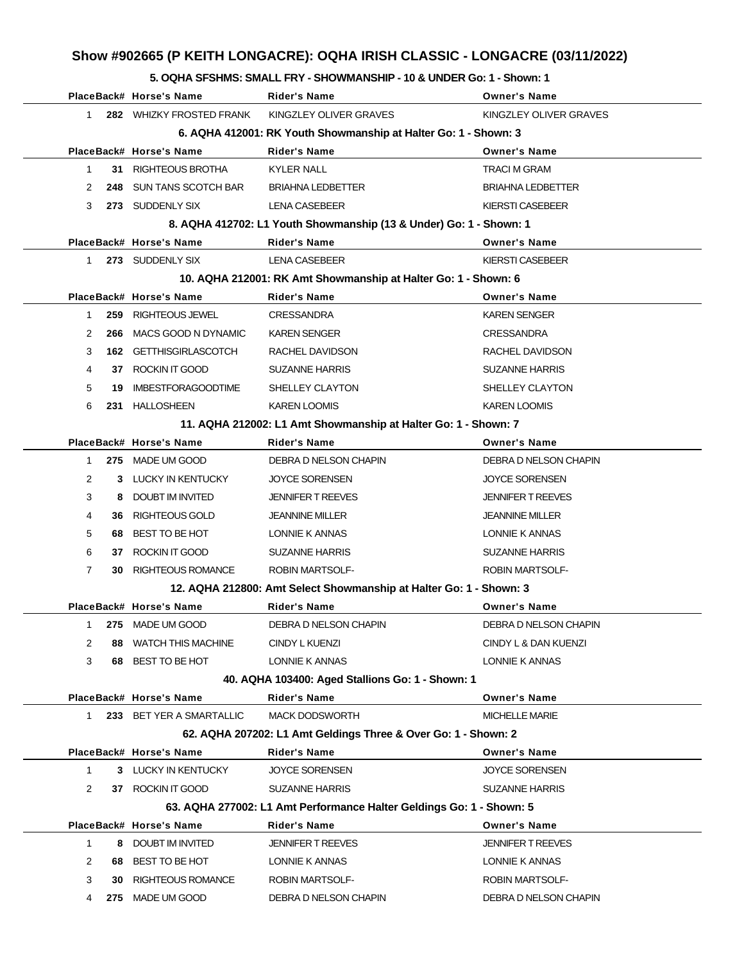# **Show #902665 (P KEITH LONGACRE): OQHA IRISH CLASSIC - LONGACRE (03/11/2022)**

#### **5. OQHA SFSHMS: SMALL FRY - SHOWMANSHIP - 10 & UNDER Go: 1 - Shown: 1**

|                |     | PlaceBack# Horse's Name       | <b>Rider's Name</b>                                                  | <b>Owner's Name</b>      |
|----------------|-----|-------------------------------|----------------------------------------------------------------------|--------------------------|
| 1              |     | 282 WHIZKY FROSTED FRANK      | KINGZLEY OLIVER GRAVES                                               | KINGZLEY OLIVER GRAVES   |
|                |     |                               | 6. AQHA 412001: RK Youth Showmanship at Halter Go: 1 - Shown: 3      |                          |
|                |     | PlaceBack# Horse's Name       | Rider's Name                                                         | <b>Owner's Name</b>      |
| $\mathbf 1$    |     | 31 RIGHTEOUS BROTHA           | <b>KYLER NALL</b>                                                    | TRACI M GRAM             |
| 2              | 248 | SUN TANS SCOTCH BAR           | <b>BRIAHNA LEDBETTER</b>                                             | <b>BRIAHNA LEDBETTER</b> |
| 3              |     | 273 SUDDENLY SIX              | LENA CASEBEER                                                        | KIERSTI CASEBEER         |
|                |     |                               | 8. AQHA 412702: L1 Youth Showmanship (13 & Under) Go: 1 - Shown: 1   |                          |
|                |     | PlaceBack# Horse's Name       | Rider's Name                                                         | <b>Owner's Name</b>      |
| 1              |     | 273 SUDDENLY SIX              | LENA CASEBEER                                                        | KIERSTI CASEBEER         |
|                |     |                               | 10. AQHA 212001: RK Amt Showmanship at Halter Go: 1 - Shown: 6       |                          |
|                |     | PlaceBack# Horse's Name       | Rider's Name                                                         | <b>Owner's Name</b>      |
| $\mathbf{1}$   | 259 | RIGHTEOUS JEWEL               | <b>CRESSANDRA</b>                                                    | <b>KAREN SENGER</b>      |
| 2              | 266 | MACS GOOD N DYNAMIC           | <b>KAREN SENGER</b>                                                  | <b>CRESSANDRA</b>        |
| 3              |     | <b>162 GETTHISGIRLASCOTCH</b> | RACHEL DAVIDSON                                                      | RACHEL DAVIDSON          |
| 4              |     | 37 ROCKIN IT GOOD             | <b>SUZANNE HARRIS</b>                                                | <b>SUZANNE HARRIS</b>    |
| 5              | 19  | <b>IMBESTFORAGOODTIME</b>     | SHELLEY CLAYTON                                                      | SHELLEY CLAYTON          |
| 6              |     | 231 HALLOSHEEN                | <b>KAREN LOOMIS</b>                                                  | <b>KAREN LOOMIS</b>      |
|                |     |                               | 11. AQHA 212002: L1 Amt Showmanship at Halter Go: 1 - Shown: 7       |                          |
|                |     | PlaceBack# Horse's Name       | Rider's Name                                                         | <b>Owner's Name</b>      |
| 1              |     | 275 MADE UM GOOD              | DEBRA D NELSON CHAPIN                                                | DEBRA D NELSON CHAPIN    |
| 2              |     | 3 LUCKY IN KENTUCKY           | <b>JOYCE SORENSEN</b>                                                | <b>JOYCE SORENSEN</b>    |
| 3              |     | 8 DOUBT IM INVITED            | <b>JENNIFER T REEVES</b>                                             | <b>JENNIFER T REEVES</b> |
| 4              |     | 36 RIGHTEOUS GOLD             | <b>JEANNINE MILLER</b>                                               | <b>JEANNINE MILLER</b>   |
| 5              |     | 68 BEST TO BE HOT             | LONNIE K ANNAS                                                       | LONNIE K ANNAS           |
| 6              |     | 37 ROCKIN IT GOOD             | <b>SUZANNE HARRIS</b>                                                | <b>SUZANNE HARRIS</b>    |
| $\overline{7}$ |     | <b>30 RIGHTEOUS ROMANCE</b>   | <b>ROBIN MARTSOLF-</b>                                               | <b>ROBIN MARTSOLF-</b>   |
|                |     |                               | 12. AQHA 212800: Amt Select Showmanship at Halter Go: 1 - Shown: 3   |                          |
|                |     | PlaceBack# Horse's Name       | Rider's Name                                                         | <b>Owner's Name</b>      |
|                |     | 1 275 MADE UM GOOD            | DEBRA D NELSON CHAPIN                                                | DEBRA D NELSON CHAPIN    |
| 2              |     | 88 WATCH THIS MACHINE         | CINDY L KUENZI                                                       | CINDY L & DAN KUENZI     |
| 3              |     | 68 BEST TO BE HOT             | LONNIE K ANNAS                                                       | LONNIE K ANNAS           |
|                |     |                               | 40. AQHA 103400: Aged Stallions Go: 1 - Shown: 1                     |                          |
|                |     | PlaceBack# Horse's Name       | <b>Rider's Name</b>                                                  | <b>Owner's Name</b>      |
|                |     | 1 233 BET YER A SMARTALLIC    | <b>MACK DODSWORTH</b>                                                | <b>MICHELLE MARIE</b>    |
|                |     |                               | 62. AQHA 207202: L1 Amt Geldings Three & Over Go: 1 - Shown: 2       |                          |
|                |     | PlaceBack# Horse's Name       | Rider's Name                                                         | <b>Owner's Name</b>      |
| $\mathbf 1$    |     | 3 LUCKY IN KENTUCKY           | <b>JOYCE SORENSEN</b>                                                | <b>JOYCE SORENSEN</b>    |
| 2              |     | 37 ROCKIN IT GOOD             | <b>SUZANNE HARRIS</b>                                                | <b>SUZANNE HARRIS</b>    |
|                |     |                               | 63. AQHA 277002: L1 Amt Performance Halter Geldings Go: 1 - Shown: 5 |                          |
|                |     | PlaceBack# Horse's Name       | Rider's Name                                                         | <b>Owner's Name</b>      |
| $\mathbf{1}$   |     | 8 DOUBT IM INVITED            | <b>JENNIFER T REEVES</b>                                             | <b>JENNIFER T REEVES</b> |
| 2              |     | 68 BEST TO BE HOT             | LONNIE K ANNAS                                                       | LONNIE K ANNAS           |
| 3              | 30  | RIGHTEOUS ROMANCE             | <b>ROBIN MARTSOLF-</b>                                               | ROBIN MARTSOLF-          |
| 4              |     | 275 MADE UM GOOD              | DEBRA D NELSON CHAPIN                                                | DEBRA D NELSON CHAPIN    |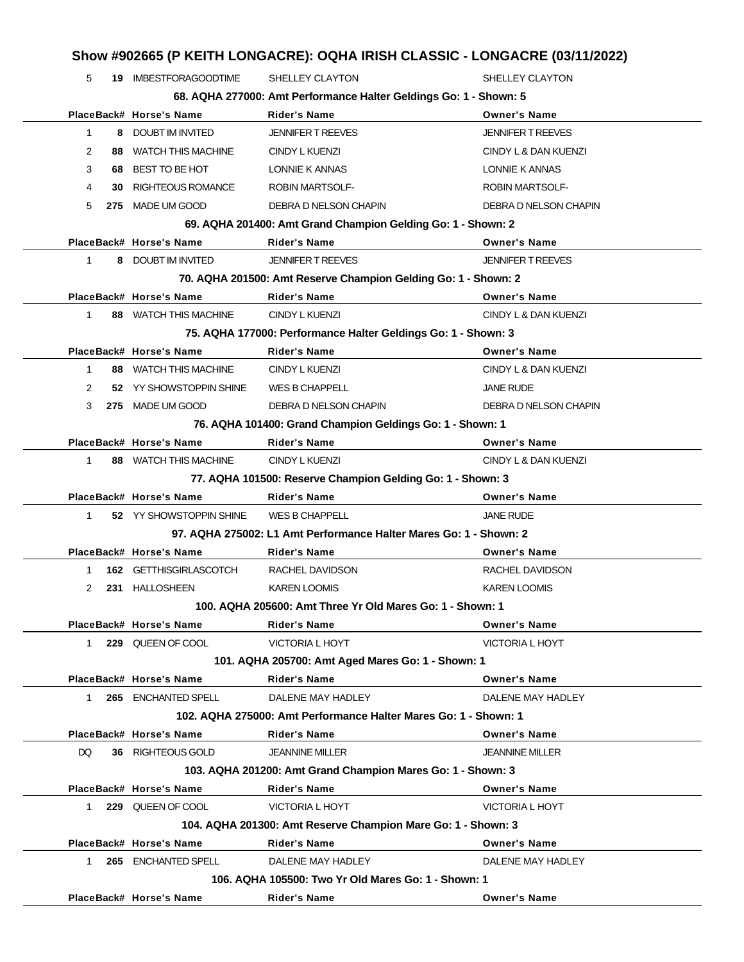## **Show #902665 (P KEITH LONGACRE): OQHA IRISH CLASSIC - LONGACRE (03/11/2022)**

| 5            |     | <b>19 IMBESTFORAGOODTIME</b> | SHELLEY CLAYTON                                                   | SHELLEY CLAYTON          |
|--------------|-----|------------------------------|-------------------------------------------------------------------|--------------------------|
|              |     |                              | 68. AQHA 277000: Amt Performance Halter Geldings Go: 1 - Shown: 5 |                          |
|              |     | PlaceBack# Horse's Name      | <b>Rider's Name</b>                                               | <b>Owner's Name</b>      |
| $\mathbf 1$  |     | 8 DOUBT IM INVITED           | <b>JENNIFER T REEVES</b>                                          | <b>JENNIFER T REEVES</b> |
| 2            |     | 88 WATCH THIS MACHINE        | CINDY L KUENZI                                                    | CINDY L & DAN KUENZI     |
| 3            |     | 68 BEST TO BE HOT            | LONNIE K ANNAS                                                    | LONNIE K ANNAS           |
| 4            | 30. | <b>RIGHTEOUS ROMANCE</b>     | <b>ROBIN MARTSOLF-</b>                                            | <b>ROBIN MARTSOLF-</b>   |
| 5            |     | 275 MADE UM GOOD             | DEBRA D NELSON CHAPIN                                             | DEBRA D NELSON CHAPIN    |
|              |     |                              | 69. AQHA 201400: Amt Grand Champion Gelding Go: 1 - Shown: 2      |                          |
|              |     | PlaceBack# Horse's Name      | <b>Rider's Name</b>                                               | <b>Owner's Name</b>      |
| $\mathbf{1}$ |     | 8 DOUBT IM INVITED           | <b>JENNIFER T REEVES</b>                                          | <b>JENNIFER T REEVES</b> |
|              |     |                              | 70. AQHA 201500: Amt Reserve Champion Gelding Go: 1 - Shown: 2    |                          |
|              |     | PlaceBack# Horse's Name      | <b>Rider's Name</b>                                               | <b>Owner's Name</b>      |
| $\mathbf{1}$ |     | 88 WATCH THIS MACHINE        | CINDY L KUENZI                                                    | CINDY L & DAN KUENZI     |
|              |     |                              | 75. AQHA 177000: Performance Halter Geldings Go: 1 - Shown: 3     |                          |
|              |     | PlaceBack# Horse's Name      | <b>Rider's Name</b>                                               | <b>Owner's Name</b>      |
| $\mathbf{1}$ |     | 88 WATCH THIS MACHINE        | CINDY L KUENZI                                                    | CINDY L & DAN KUENZI     |
| 2            |     | 52 YY SHOWSTOPPIN SHINE      | WES B CHAPPELL                                                    | <b>JANE RUDE</b>         |
| 3            |     | 275 MADE UM GOOD             | DEBRA D NELSON CHAPIN                                             | DEBRA D NELSON CHAPIN    |
|              |     |                              | 76. AQHA 101400: Grand Champion Geldings Go: 1 - Shown: 1         |                          |
|              |     | PlaceBack# Horse's Name      | <b>Rider's Name</b>                                               | <b>Owner's Name</b>      |
| $\mathbf{1}$ |     | 88 WATCH THIS MACHINE        | <b>CINDY L KUENZI</b>                                             | CINDY L & DAN KUENZI     |
|              |     |                              | 77. AQHA 101500: Reserve Champion Gelding Go: 1 - Shown: 3        |                          |
|              |     | PlaceBack# Horse's Name      | <b>Rider's Name</b>                                               | <b>Owner's Name</b>      |
| $\mathbf{1}$ |     | 52 YY SHOWSTOPPIN SHINE      | <b>WES B CHAPPELL</b>                                             | <b>JANE RUDE</b>         |
|              |     |                              | 97. AQHA 275002: L1 Amt Performance Halter Mares Go: 1 - Shown: 2 |                          |
|              |     | PlaceBack# Horse's Name      | <b>Rider's Name</b>                                               | <b>Owner's Name</b>      |
| 1            |     | 162 GETTHISGIRLASCOTCH       | RACHEL DAVIDSON                                                   | RACHEL DAVIDSON          |
| 2            |     | 231 HALLOSHEEN               | <b>KAREN LOOMIS</b>                                               | <b>KAREN LOOMIS</b>      |
|              |     |                              | 100. AQHA 205600: Amt Three Yr Old Mares Go: 1 - Shown: 1         |                          |
|              |     | PlaceBack# Horse's Name      | <b>Rider's Name</b>                                               | <b>Owner's Name</b>      |
| 1            |     | 229 QUEEN OF COOL            | <b>VICTORIA L HOYT</b>                                            | <b>VICTORIA L HOYT</b>   |
|              |     |                              | 101. AQHA 205700: Amt Aged Mares Go: 1 - Shown: 1                 |                          |
|              |     | PlaceBack# Horse's Name      | <b>Rider's Name</b>                                               | <b>Owner's Name</b>      |
| $\mathbf{1}$ |     | 265 ENCHANTED SPELL          | DALENE MAY HADLEY                                                 | DALENE MAY HADLEY        |
|              |     |                              | 102. AQHA 275000: Amt Performance Halter Mares Go: 1 - Shown: 1   |                          |
|              |     | PlaceBack# Horse's Name      | <b>Rider's Name</b>                                               | <b>Owner's Name</b>      |
| DQ.          |     | 36 RIGHTEOUS GOLD            | <b>JEANNINE MILLER</b>                                            | <b>JEANNINE MILLER</b>   |
|              |     |                              | 103. AQHA 201200: Amt Grand Champion Mares Go: 1 - Shown: 3       |                          |
|              |     | PlaceBack# Horse's Name      | <b>Rider's Name</b>                                               | <b>Owner's Name</b>      |
| 1            |     | 229 QUEEN OF COOL            | <b>VICTORIA L HOYT</b>                                            | <b>VICTORIA L HOYT</b>   |
|              |     |                              | 104. AQHA 201300: Amt Reserve Champion Mare Go: 1 - Shown: 3      |                          |
|              |     | PlaceBack# Horse's Name      | <b>Rider's Name</b>                                               | <b>Owner's Name</b>      |
| 1            |     | 265 ENCHANTED SPELL          | DALENE MAY HADLEY                                                 | DALENE MAY HADLEY        |
|              |     |                              | 106. AQHA 105500: Two Yr Old Mares Go: 1 - Shown: 1               |                          |
|              |     | PlaceBack# Horse's Name      | <b>Rider's Name</b>                                               | <b>Owner's Name</b>      |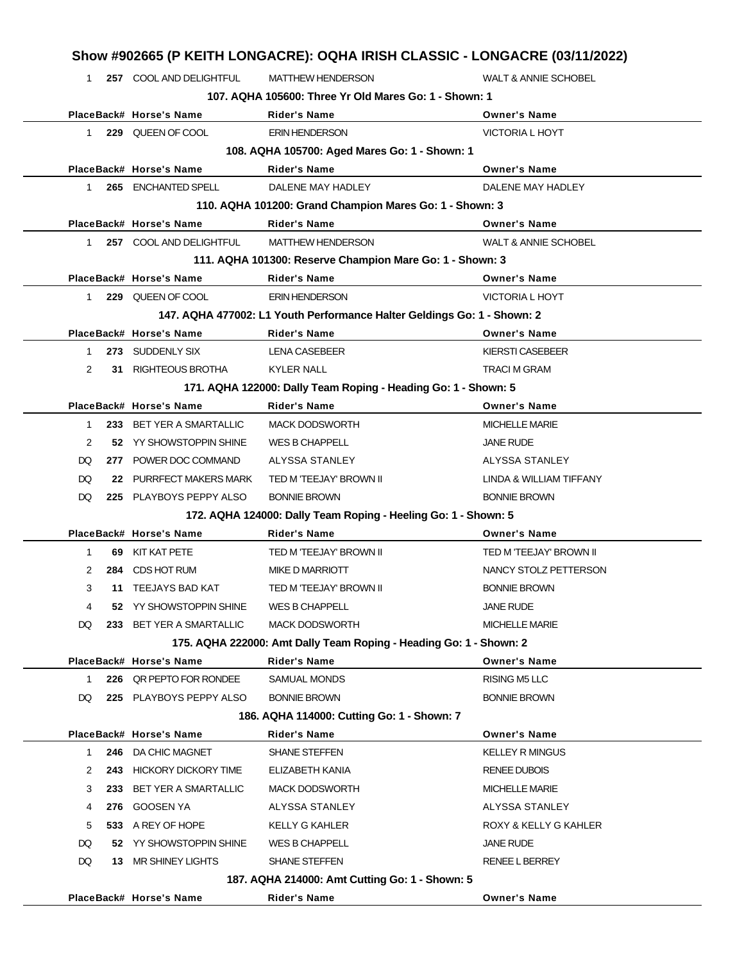|                | Show #902665 (P KEITH LONGACRE): OQHA IRISH CLASSIC - LONGACRE (03/11/2022) |                                                     |                                                                         |                                           |  |
|----------------|-----------------------------------------------------------------------------|-----------------------------------------------------|-------------------------------------------------------------------------|-------------------------------------------|--|
| $\mathbf{1}$   |                                                                             | 257 COOL AND DELIGHTFUL                             | <b>MATTHEW HENDERSON</b>                                                | <b>WALT &amp; ANNIE SCHOBEL</b>           |  |
|                |                                                                             |                                                     | 107. AQHA 105600: Three Yr Old Mares Go: 1 - Shown: 1                   |                                           |  |
|                |                                                                             | PlaceBack# Horse's Name                             | <b>Rider's Name</b>                                                     | <b>Owner's Name</b>                       |  |
| $\mathbf{1}$   |                                                                             | 229 QUEEN OF COOL                                   | <b>ERIN HENDERSON</b>                                                   | <b>VICTORIA L HOYT</b>                    |  |
|                |                                                                             |                                                     | 108. AQHA 105700: Aged Mares Go: 1 - Shown: 1                           |                                           |  |
|                |                                                                             | PlaceBack# Horse's Name                             | <b>Rider's Name</b>                                                     | <b>Owner's Name</b>                       |  |
| $\mathbf{1}$   |                                                                             | 265 ENCHANTED SPELL                                 | DALENE MAY HADLEY                                                       | DALENE MAY HADLEY                         |  |
|                |                                                                             |                                                     | 110. AQHA 101200: Grand Champion Mares Go: 1 - Shown: 3                 |                                           |  |
|                |                                                                             | PlaceBack# Horse's Name                             | <b>Rider's Name</b>                                                     | <b>Owner's Name</b>                       |  |
| 1              |                                                                             | 257 COOL AND DELIGHTFUL                             | <b>MATTHEW HENDERSON</b>                                                | <b>WALT &amp; ANNIE SCHOBEL</b>           |  |
|                |                                                                             |                                                     | 111. AQHA 101300: Reserve Champion Mare Go: 1 - Shown: 3                |                                           |  |
|                |                                                                             | PlaceBack# Horse's Name                             | <b>Rider's Name</b>                                                     | <b>Owner's Name</b>                       |  |
| $\mathbf{1}$   |                                                                             | 229 QUEEN OF COOL                                   | <b>ERIN HENDERSON</b>                                                   | <b>VICTORIA L HOYT</b>                    |  |
|                |                                                                             |                                                     | 147. AQHA 477002: L1 Youth Performance Halter Geldings Go: 1 - Shown: 2 |                                           |  |
|                |                                                                             | PlaceBack# Horse's Name                             | <b>Rider's Name</b>                                                     | <b>Owner's Name</b>                       |  |
| 1              |                                                                             | 273 SUDDENLY SIX                                    | <b>LENA CASEBEER</b>                                                    | <b>KIERSTI CASEBEER</b>                   |  |
| $\overline{2}$ |                                                                             | 31 RIGHTEOUS BROTHA                                 | <b>KYLER NALL</b>                                                       | <b>TRACI M GRAM</b>                       |  |
|                |                                                                             |                                                     | 171. AQHA 122000: Dally Team Roping - Heading Go: 1 - Shown: 5          |                                           |  |
|                |                                                                             | PlaceBack# Horse's Name                             | <b>Rider's Name</b>                                                     | <b>Owner's Name</b>                       |  |
| 1<br>2         |                                                                             | 233 BET YER A SMARTALLIC<br>52 YY SHOWSTOPPIN SHINE | <b>MACK DODSWORTH</b><br>WES B CHAPPELL                                 | <b>MICHELLE MARIE</b><br><b>JANE RUDE</b> |  |
| DQ             |                                                                             | 277 POWER DOC COMMAND                               | ALYSSA STANLEY                                                          | ALYSSA STANLEY                            |  |
| DQ             |                                                                             | 22 PURRFECT MAKERS MARK                             | TED M 'TEEJAY' BROWN II                                                 | LINDA & WILLIAM TIFFANY                   |  |
| DQ             |                                                                             | 225 PLAYBOYS PEPPY ALSO                             | <b>BONNIE BROWN</b>                                                     | <b>BONNIE BROWN</b>                       |  |
|                |                                                                             |                                                     | 172. AQHA 124000: Dally Team Roping - Heeling Go: 1 - Shown: 5          |                                           |  |
|                |                                                                             | PlaceBack# Horse's Name                             | Rider's Name                                                            | <b>Owner's Name</b>                       |  |
| 1              | 69                                                                          | KIT KAT PETE                                        | TED M 'TEEJAY' BROWN II                                                 | TED M 'TEEJAY' BROWN II                   |  |
| 2              |                                                                             | 284 CDS HOT RUM                                     | MIKE D MARRIOTT                                                         | NANCY STOLZ PETTERSON                     |  |
| 3              |                                                                             | 11 TEEJAYS BAD KAT                                  | TED M 'TEEJAY' BROWN II                                                 | <b>BONNIE BROWN</b>                       |  |
| 4              |                                                                             | 52 YY SHOWSTOPPIN SHINE                             | WES B CHAPPELL                                                          | <b>JANE RUDE</b>                          |  |
| DQ             |                                                                             | 233 BET YER A SMARTALLIC                            | <b>MACK DODSWORTH</b>                                                   | <b>MICHELLE MARIE</b>                     |  |
|                |                                                                             |                                                     | 175. AQHA 222000: Amt Dally Team Roping - Heading Go: 1 - Shown: 2      |                                           |  |
|                |                                                                             | PlaceBack# Horse's Name                             | <b>Rider's Name</b>                                                     | <b>Owner's Name</b>                       |  |
| 1              |                                                                             | 226 QR PEPTO FOR RONDEE                             | <b>SAMUAL MONDS</b>                                                     | <b>RISING M5 LLC</b>                      |  |
| DQ             |                                                                             | 225 PLAYBOYS PEPPY ALSO                             | <b>BONNIE BROWN</b>                                                     | <b>BONNIE BROWN</b>                       |  |
|                |                                                                             |                                                     | 186. AQHA 114000: Cutting Go: 1 - Shown: 7                              |                                           |  |
|                |                                                                             | PlaceBack# Horse's Name                             | <b>Rider's Name</b>                                                     | <b>Owner's Name</b>                       |  |
| 1              |                                                                             | 246 DA CHIC MAGNET                                  | <b>SHANE STEFFEN</b>                                                    | <b>KELLEY R MINGUS</b>                    |  |
| 2              |                                                                             | 243 HICKORY DICKORY TIME                            | ELIZABETH KANIA                                                         | <b>RENEE DUBOIS</b>                       |  |
| 3              |                                                                             | 233 BET YER A SMARTALLIC                            | <b>MACK DODSWORTH</b>                                                   | <b>MICHELLE MARIE</b>                     |  |
| 4              |                                                                             | 276 GOOSEN YA                                       | ALYSSA STANLEY                                                          | ALYSSA STANLEY                            |  |
| 5              |                                                                             | 533 A REY OF HOPE                                   | KELLY G KAHLER                                                          | ROXY & KELLY G KAHLER                     |  |
| DQ             |                                                                             | 52 YY SHOWSTOPPIN SHINE                             | <b>WES B CHAPPELL</b>                                                   | <b>JANE RUDE</b>                          |  |
| DQ             |                                                                             | 13 MR SHINEY LIGHTS                                 | <b>SHANE STEFFEN</b>                                                    | <b>RENEE L BERREY</b>                     |  |
|                |                                                                             |                                                     | 187. AQHA 214000: Amt Cutting Go: 1 - Shown: 5                          |                                           |  |
|                |                                                                             | PlaceBack# Horse's Name                             | <b>Rider's Name</b>                                                     | <b>Owner's Name</b>                       |  |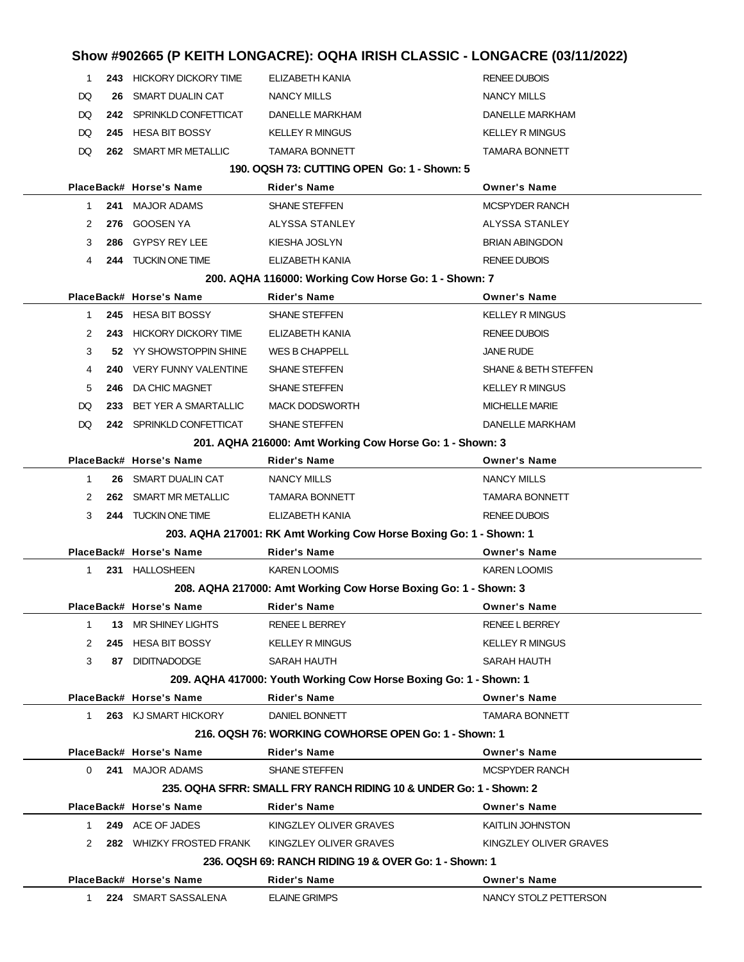|              |     |                             | Show #902665 (P KEITH LONGACRE): OQHA IRISH CLASSIC - LONGACRE (03/11/2022) |                                 |
|--------------|-----|-----------------------------|-----------------------------------------------------------------------------|---------------------------------|
| 1            |     | 243 HICKORY DICKORY TIME    | ELIZABETH KANIA                                                             | <b>RENEE DUBOIS</b>             |
| DQ           | 26  | <b>SMART DUALIN CAT</b>     | <b>NANCY MILLS</b>                                                          | <b>NANCY MILLS</b>              |
| DQ           |     | 242 SPRINKLD CONFETTICAT    | DANELLE MARKHAM                                                             | <b>DANELLE MARKHAM</b>          |
| DQ           |     | 245 HESA BIT BOSSY          | <b>KELLEY R MINGUS</b>                                                      | <b>KELLEY R MINGUS</b>          |
| DQ           |     | 262 SMART MR METALLIC       | <b>TAMARA BONNETT</b>                                                       | <b>TAMARA BONNETT</b>           |
|              |     |                             | 190, OQSH 73: CUTTING OPEN Go: 1 - Shown: 5                                 |                                 |
|              |     | PlaceBack# Horse's Name     | <b>Rider's Name</b>                                                         | <b>Owner's Name</b>             |
| 1            |     | 241 MAJOR ADAMS             | <b>SHANE STEFFEN</b>                                                        | <b>MCSPYDER RANCH</b>           |
| 2            | 276 | <b>GOOSEN YA</b>            | ALYSSA STANLEY                                                              | ALYSSA STANLEY                  |
| 3            | 286 | GYPSY REY LEE               | KIESHA JOSLYN                                                               | <b>BRIAN ABINGDON</b>           |
| 4            |     | 244 TUCKIN ONE TIME         | ELIZABETH KANIA                                                             | <b>RENEE DUBOIS</b>             |
|              |     |                             | 200. AQHA 116000: Working Cow Horse Go: 1 - Shown: 7                        |                                 |
|              |     | PlaceBack# Horse's Name     | <b>Rider's Name</b>                                                         | <b>Owner's Name</b>             |
| 1            |     | 245 HESA BIT BOSSY          | SHANE STEFFEN                                                               | <b>KELLEY R MINGUS</b>          |
| 2            |     | 243 HICKORY DICKORY TIME    | ELIZABETH KANIA                                                             | <b>RENEE DUBOIS</b>             |
| 3            |     | 52 YY SHOWSTOPPIN SHINE     | WES B CHAPPELL                                                              | <b>JANE RUDE</b>                |
| 4            | 240 | VERY FUNNY VALENTINE        | <b>SHANE STEFFEN</b>                                                        | <b>SHANE &amp; BETH STEFFEN</b> |
| 5            | 246 | DA CHIC MAGNET              | <b>SHANE STEFFEN</b>                                                        | <b>KELLEY R MINGUS</b>          |
| DQ           | 233 | <b>BET YER A SMARTALLIC</b> | <b>MACK DODSWORTH</b>                                                       | <b>MICHELLE MARIE</b>           |
| DQ           |     | 242 SPRINKLD CONFETTICAT    | <b>SHANE STEFFEN</b>                                                        | DANELLE MARKHAM                 |
|              |     |                             | 201. AQHA 216000: Amt Working Cow Horse Go: 1 - Shown: 3                    |                                 |
|              |     | PlaceBack# Horse's Name     | <b>Rider's Name</b>                                                         | <b>Owner's Name</b>             |
| $\mathbf{1}$ |     | 26 SMART DUALIN CAT         | <b>NANCY MILLS</b>                                                          | <b>NANCY MILLS</b>              |
| 2            |     | 262 SMART MR METALLIC       | <b>TAMARA BONNETT</b>                                                       | <b>TAMARA BONNETT</b>           |
| 3            |     | 244 TUCKIN ONE TIME         | ELIZABETH KANIA                                                             | <b>RENEE DUBOIS</b>             |
|              |     |                             | 203. AQHA 217001: RK Amt Working Cow Horse Boxing Go: 1 - Shown: 1          |                                 |
|              |     | PlaceBack# Horse's Name     | <b>Rider's Name</b>                                                         | <b>Owner's Name</b>             |
| 1            |     | 231 HALLOSHEEN              | <b>KAREN LOOMIS</b>                                                         | <b>KAREN LOOMIS</b>             |
|              |     |                             | 208. AQHA 217000: Amt Working Cow Horse Boxing Go: 1 - Shown: 3             |                                 |
|              |     | PlaceBack# Horse's Name     | <b>Rider's Name</b>                                                         | <b>Owner's Name</b>             |
| $\mathbf 1$  |     | 13 MR SHINEY LIGHTS         | <b>RENEE L BERREY</b>                                                       | <b>RENEE L BERREY</b>           |
| 2            |     | 245 HESA BIT BOSSY          | <b>KELLEY R MINGUS</b>                                                      | <b>KELLEY R MINGUS</b>          |
| 3            |     | 87 DIDITNADODGE             | <b>SARAH HAUTH</b>                                                          | SARAH HAUTH                     |
|              |     |                             | 209. AQHA 417000: Youth Working Cow Horse Boxing Go: 1 - Shown: 1           |                                 |
|              |     | PlaceBack# Horse's Name     | <b>Rider's Name</b>                                                         | <b>Owner's Name</b>             |
| 1            |     | 263 KJ SMART HICKORY        | DANIEL BONNETT                                                              | <b>TAMARA BONNETT</b>           |
|              |     |                             | 216, OQSH 76: WORKING COWHORSE OPEN Go: 1 - Shown: 1                        |                                 |
|              |     | PlaceBack# Horse's Name     | <b>Rider's Name</b>                                                         | <b>Owner's Name</b>             |
| $\Omega$     |     | 241 MAJOR ADAMS             | <b>SHANE STEFFEN</b>                                                        | <b>MCSPYDER RANCH</b>           |
|              |     |                             | 235, OQHA SFRR: SMALL FRY RANCH RIDING 10 & UNDER Go: 1 - Shown: 2          |                                 |
|              |     | PlaceBack# Horse's Name     | <b>Rider's Name</b>                                                         | <b>Owner's Name</b>             |
| 1            |     | 249 ACE OF JADES            | KINGZLEY OLIVER GRAVES                                                      | KAITLIN JOHNSTON                |
| 2            |     |                             | 282 WHIZKY FROSTED FRANK KINGZLEY OLIVER GRAVES                             | KINGZLEY OLIVER GRAVES          |
|              |     |                             | 236. OQSH 69: RANCH RIDING 19 & OVER Go: 1 - Shown: 1                       |                                 |
|              |     | PlaceBack# Horse's Name     | <b>Rider's Name</b>                                                         | <b>Owner's Name</b>             |
| 1            |     | 224 SMART SASSALENA         | <b>ELAINE GRIMPS</b>                                                        | NANCY STOLZ PETTERSON           |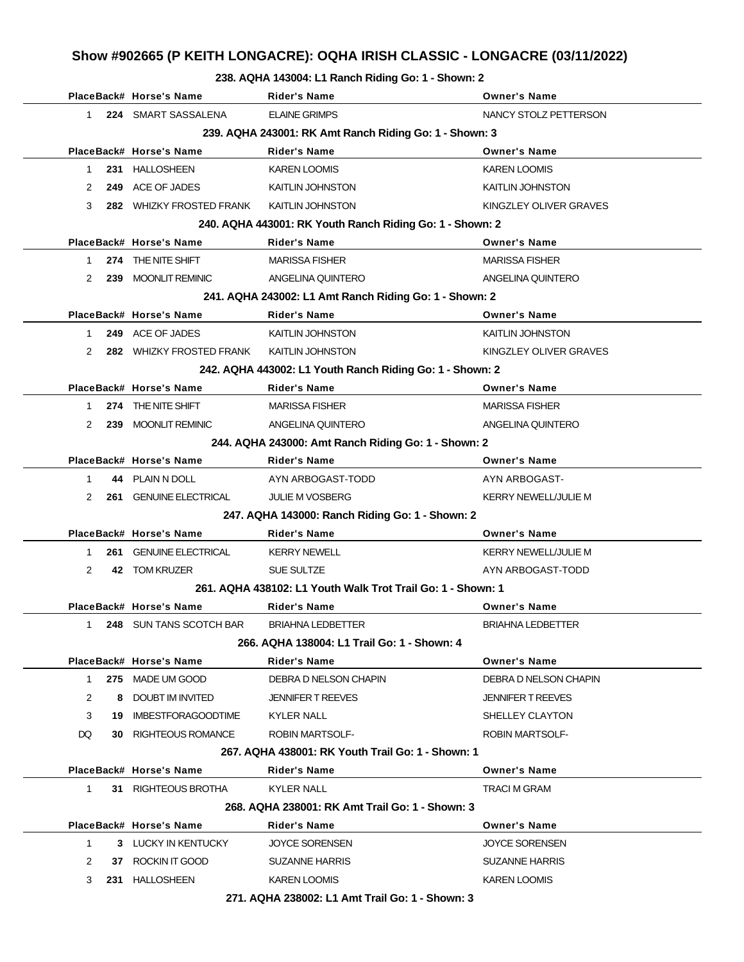# **Show #902665 (P KEITH LONGACRE): OQHA IRISH CLASSIC - LONGACRE (03/11/2022)**

#### **238. AQHA 143004: L1 Ranch Riding Go: 1 - Shown: 2**

|              |     | PlaceBack# Horse's Name     | <b>Rider's Name</b>                                         | <b>Owner's Name</b>         |
|--------------|-----|-----------------------------|-------------------------------------------------------------|-----------------------------|
| $\mathbf{1}$ |     | 224 SMART SASSALENA         | <b>ELAINE GRIMPS</b>                                        | NANCY STOLZ PETTERSON       |
|              |     |                             | 239. AQHA 243001: RK Amt Ranch Riding Go: 1 - Shown: 3      |                             |
|              |     | PlaceBack# Horse's Name     | <b>Rider's Name</b>                                         | <b>Owner's Name</b>         |
| $\mathbf{1}$ |     | 231 HALLOSHEEN              | <b>KAREN LOOMIS</b>                                         | KAREN LOOMIS                |
| 2            |     | 249 ACE OF JADES            | KAITLIN JOHNSTON                                            | KAITLIN JOHNSTON            |
| 3            |     | 282 WHIZKY FROSTED FRANK    | <b>KAITLIN JOHNSTON</b>                                     | KINGZLEY OLIVER GRAVES      |
|              |     |                             | 240. AQHA 443001: RK Youth Ranch Riding Go: 1 - Shown: 2    |                             |
|              |     | PlaceBack# Horse's Name     | <b>Rider's Name</b>                                         | <b>Owner's Name</b>         |
| 1            |     | 274 THE NITE SHIFT          | <b>MARISSA FISHER</b>                                       | <b>MARISSA FISHER</b>       |
| 2            |     | 239 MOONLIT REMINIC         | ANGELINA QUINTERO                                           | ANGELINA QUINTERO           |
|              |     |                             | 241. AQHA 243002: L1 Amt Ranch Riding Go: 1 - Shown: 2      |                             |
|              |     | PlaceBack# Horse's Name     | <b>Rider's Name</b>                                         | <b>Owner's Name</b>         |
| $\mathbf 1$  |     | 249 ACE OF JADES            | <b>KAITLIN JOHNSTON</b>                                     | KAITLIN JOHNSTON            |
| 2            |     | 282 WHIZKY FROSTED FRANK    | <b>KAITLIN JOHNSTON</b>                                     | KINGZLEY OLIVER GRAVES      |
|              |     |                             | 242. AQHA 443002: L1 Youth Ranch Riding Go: 1 - Shown: 2    |                             |
|              |     | PlaceBack# Horse's Name     | <b>Rider's Name</b>                                         | <b>Owner's Name</b>         |
| 1            |     | 274 THE NITE SHIFT          | <b>MARISSA FISHER</b>                                       | <b>MARISSA FISHER</b>       |
| 2            |     | 239 MOONLIT REMINIC         | ANGELINA QUINTERO                                           | ANGELINA QUINTERO           |
|              |     |                             | 244. AQHA 243000: Amt Ranch Riding Go: 1 - Shown: 2         |                             |
|              |     | PlaceBack# Horse's Name     | <b>Rider's Name</b>                                         | <b>Owner's Name</b>         |
| 1            |     | 44 PLAIN N DOLL             | AYN ARBOGAST-TODD                                           | AYN ARBOGAST-               |
| 2            | 261 | <b>GENUINE ELECTRICAL</b>   | <b>JULIE M VOSBERG</b>                                      | <b>KERRY NEWELL/JULIE M</b> |
|              |     |                             | 247. AQHA 143000: Ranch Riding Go: 1 - Shown: 2             |                             |
|              |     | PlaceBack# Horse's Name     | <b>Rider's Name</b>                                         | <b>Owner's Name</b>         |
| 1            | 261 | <b>GENUINE ELECTRICAL</b>   | <b>KERRY NEWELL</b>                                         | KERRY NEWELL/JULIE M        |
| 2            |     | 42 TOM KRUZER               | SUE SULTZE                                                  | AYN ARBOGAST-TODD           |
|              |     |                             | 261, AQHA 438102: L1 Youth Walk Trot Trail Go: 1 - Shown: 1 |                             |
|              |     | PlaceBack# Horse's Name     | Rider's Name                                                | <b>Owner's Name</b>         |
| 1            |     | 248 SUN TANS SCOTCH BAR     | <b>BRIAHNA LEDBETTER</b>                                    | <b>BRIAHNA LEDBETTER</b>    |
|              |     |                             | 266. AQHA 138004: L1 Trail Go: 1 - Shown: 4                 |                             |
|              |     | PlaceBack# Horse's Name     | Rider's Name                                                | <b>Owner's Name</b>         |
| $\mathbf{1}$ |     | 275 MADE UM GOOD            | DEBRA D NELSON CHAPIN                                       | DEBRA D NELSON CHAPIN       |
| 2            |     | 8 DOUBT IM INVITED          | <b>JENNIFER T REEVES</b>                                    | JENNIFER T REEVES           |
| 3            |     | 19 IMBESTFORAGOODTIME       | <b>KYLER NALL</b>                                           | SHELLEY CLAYTON             |
| DQ           |     | <b>30 RIGHTEOUS ROMANCE</b> | <b>ROBIN MARTSOLF-</b>                                      | <b>ROBIN MARTSOLF-</b>      |
|              |     |                             | 267. AQHA 438001: RK Youth Trail Go: 1 - Shown: 1           |                             |
|              |     | PlaceBack# Horse's Name     | <b>Rider's Name</b>                                         | <b>Owner's Name</b>         |
| $\mathbf 1$  |     | 31 RIGHTEOUS BROTHA         | KYLER NALL                                                  | <b>TRACI M GRAM</b>         |
|              |     |                             | 268. AQHA 238001: RK Amt Trail Go: 1 - Shown: 3             |                             |
|              |     | PlaceBack# Horse's Name     | <b>Rider's Name</b>                                         | <b>Owner's Name</b>         |
| 1            |     | 3 LUCKY IN KENTUCKY         | <b>JOYCE SORENSEN</b>                                       | <b>JOYCE SORENSEN</b>       |
| 2            |     | 37 ROCKIN IT GOOD           | <b>SUZANNE HARRIS</b>                                       | SUZANNE HARRIS              |
| 3            |     | 231 HALLOSHEEN              | <b>KAREN LOOMIS</b>                                         | KAREN LOOMIS                |
|              |     |                             | 271. AQHA 238002: L1 Amt Trail Go: 1 - Shown: 3             |                             |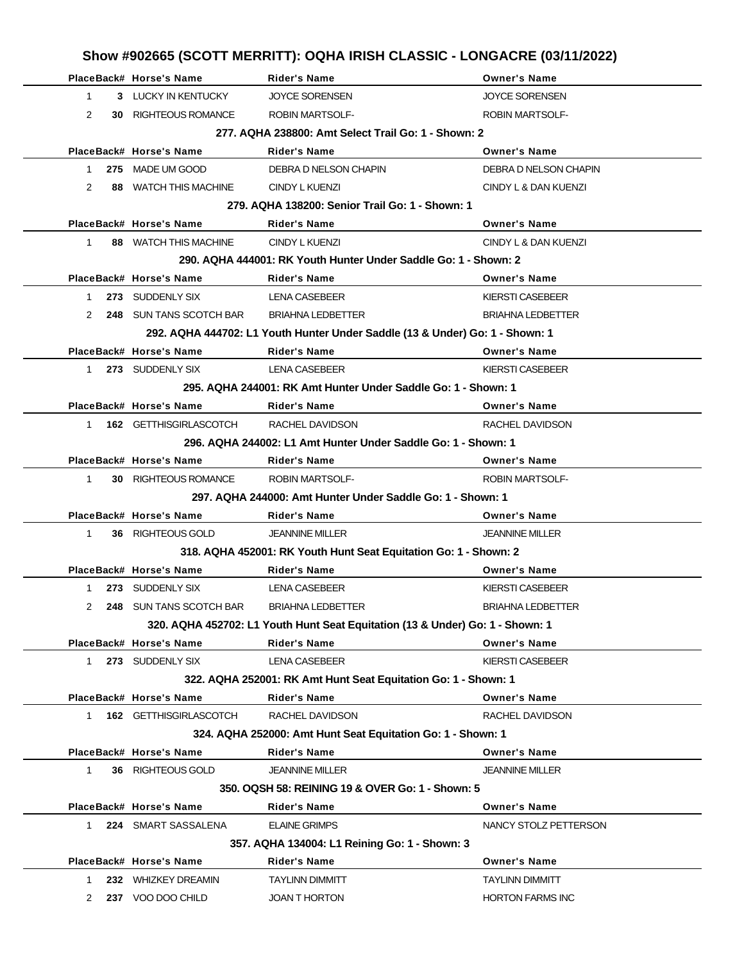|                |                                | Show #902665 (SCOTT MERRITT): OQHA IRISH CLASSIC - LONGACRE (03/11/2022)      |                          |
|----------------|--------------------------------|-------------------------------------------------------------------------------|--------------------------|
|                | PlaceBack# Horse's Name        | Rider's Name                                                                  | <b>Owner's Name</b>      |
| $\mathbf{1}$   | 3 LUCKY IN KENTUCKY            | <b>JOYCE SORENSEN</b>                                                         | <b>JOYCE SORENSEN</b>    |
| $\overline{2}$ | <b>30 RIGHTEOUS ROMANCE</b>    | <b>ROBIN MARTSOLF-</b>                                                        | <b>ROBIN MARTSOLF-</b>   |
|                |                                | 277, AQHA 238800: Amt Select Trail Go: 1 - Shown: 2                           |                          |
|                | PlaceBack# Horse's Name        | Rider's Name                                                                  | <b>Owner's Name</b>      |
| 1              | 275 MADE UM GOOD               | DEBRA D NELSON CHAPIN                                                         | DEBRA D NELSON CHAPIN    |
| 2              | 88 WATCH THIS MACHINE          | CINDY L KUENZI                                                                | CINDY L & DAN KUENZI     |
|                |                                | 279. AQHA 138200: Senior Trail Go: 1 - Shown: 1                               |                          |
|                | PlaceBack# Horse's Name        | <b>Rider's Name</b>                                                           | <b>Owner's Name</b>      |
| $\mathbf 1$    | 88 WATCH THIS MACHINE          | CINDY L KUENZI                                                                | CINDY L & DAN KUENZI     |
|                |                                | 290. AQHA 444001: RK Youth Hunter Under Saddle Go: 1 - Shown: 2               |                          |
|                | PlaceBack# Horse's Name        | <b>Rider's Name</b>                                                           | <b>Owner's Name</b>      |
| $\mathbf{1}$   | 273 SUDDENLY SIX               | <b>LENA CASEBEER</b>                                                          | KIERSTI CASEBEER         |
| 2              | <b>248 SUN TANS SCOTCH BAR</b> | <b>BRIAHNA LEDBETTER</b>                                                      | <b>BRIAHNA LEDBETTER</b> |
|                |                                | 292. AQHA 444702: L1 Youth Hunter Under Saddle (13 & Under) Go: 1 - Shown: 1  |                          |
|                | PlaceBack# Horse's Name        | Rider's Name                                                                  | <b>Owner's Name</b>      |
| $\mathbf{1}$   | 273 SUDDENLY SIX               | <b>LENA CASEBEER</b>                                                          | KIERSTI CASEBEER         |
|                |                                | 295. AQHA 244001: RK Amt Hunter Under Saddle Go: 1 - Shown: 1                 |                          |
|                | PlaceBack# Horse's Name        | Rider's Name                                                                  | <b>Owner's Name</b>      |
| 1              | 162 GETTHISGIRLASCOTCH         | RACHEL DAVIDSON                                                               | RACHEL DAVIDSON          |
|                |                                | 296. AQHA 244002: L1 Amt Hunter Under Saddle Go: 1 - Shown: 1                 |                          |
|                | PlaceBack# Horse's Name        | Rider's Name                                                                  | <b>Owner's Name</b>      |
| $\mathbf{1}$   | <b>30 RIGHTEOUS ROMANCE</b>    | <b>ROBIN MARTSOLF-</b>                                                        | <b>ROBIN MARTSOLF-</b>   |
|                |                                | 297. AQHA 244000: Amt Hunter Under Saddle Go: 1 - Shown: 1                    |                          |
|                | PlaceBack# Horse's Name        | <b>Rider's Name</b>                                                           | <b>Owner's Name</b>      |
| 1              | 36 RIGHTEOUS GOLD              | <b>JEANNINE MILLER</b>                                                        | <b>JEANNINE MILLER</b>   |
|                |                                | 318. AQHA 452001: RK Youth Hunt Seat Equitation Go: 1 - Shown: 2              |                          |
|                | PlaceBack# Horse's Name        | Rider's Name                                                                  | <b>Owner's Name</b>      |
|                | 1 273 SUDDENLY SIX             | LENA CASEBEER                                                                 | KIERSTI CASEBEER         |
| 2              | 248 SUN TANS SCOTCH BAR        | <b>BRIAHNA LEDBETTER</b>                                                      | <b>BRIAHNA LEDBETTER</b> |
|                |                                | 320. AQHA 452702: L1 Youth Hunt Seat Equitation (13 & Under) Go: 1 - Shown: 1 |                          |
|                | PlaceBack# Horse's Name        | <b>Rider's Name</b>                                                           | <b>Owner's Name</b>      |
| $1 \quad$      | 273 SUDDENLY SIX               | LENA CASEBEER                                                                 | <b>KIERSTI CASEBEER</b>  |
|                |                                | 322. AQHA 252001: RK Amt Hunt Seat Equitation Go: 1 - Shown: 1                |                          |
|                | PlaceBack# Horse's Name        | <b>Rider's Name</b>                                                           | <b>Owner's Name</b>      |
| $1 \quad$      | <b>162 GETTHISGIRLASCOTCH</b>  | RACHEL DAVIDSON                                                               | RACHEL DAVIDSON          |
|                | PlaceBack# Horse's Name        | 324. AQHA 252000: Amt Hunt Seat Equitation Go: 1 - Shown: 1<br>Rider's Name   | <b>Owner's Name</b>      |
| $\mathbf{1}$   |                                |                                                                               |                          |
|                | 36 RIGHTEOUS GOLD              | <b>JEANNINE MILLER</b><br>350. OQSH 58: REINING 19 & OVER Go: 1 - Shown: 5    | JEANNINE MILLER          |
|                | PlaceBack# Horse's Name        | Rider's Name                                                                  | <b>Owner's Name</b>      |
| 1              | 224 SMART SASSALENA            | <b>ELAINE GRIMPS</b>                                                          | NANCY STOLZ PETTERSON    |
|                |                                | 357. AQHA 134004: L1 Reining Go: 1 - Shown: 3                                 |                          |
|                | PlaceBack# Horse's Name        | Rider's Name                                                                  | <b>Owner's Name</b>      |
| 1              | 232 WHIZKEY DREAMIN            | <b>TAYLINN DIMMITT</b>                                                        | <b>TAYLINN DIMMITT</b>   |
| 2              | 237 VOO DOO CHILD              | <b>JOAN T HORTON</b>                                                          | <b>HORTON FARMS INC</b>  |
|                |                                |                                                                               |                          |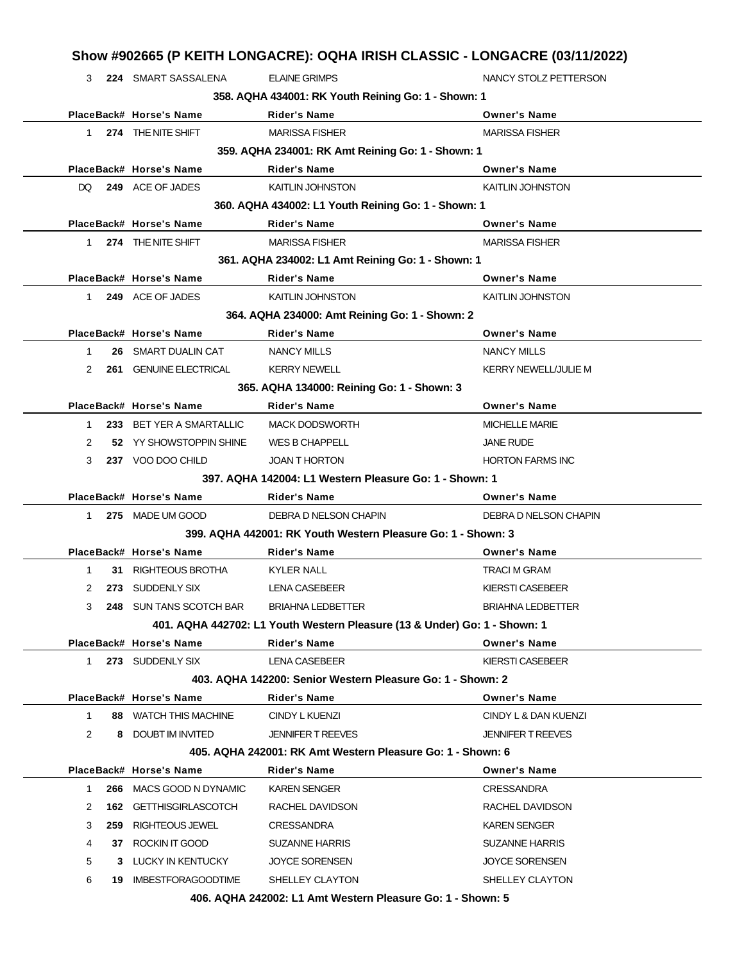|                |                          | Show #902665 (P KEITH LONGACRE): OQHA IRISH CLASSIC - LONGACRE (03/11/2022) |                             |
|----------------|--------------------------|-----------------------------------------------------------------------------|-----------------------------|
| 3              | 224 SMART SASSALENA      | <b>ELAINE GRIMPS</b>                                                        | NANCY STOLZ PETTERSON       |
|                |                          | 358. AQHA 434001: RK Youth Reining Go: 1 - Shown: 1                         |                             |
|                | PlaceBack# Horse's Name  | <b>Rider's Name</b>                                                         | <b>Owner's Name</b>         |
| $1 \quad$      | 274 THE NITE SHIFT       | <b>MARISSA FISHER</b>                                                       | <b>MARISSA FISHER</b>       |
|                |                          | 359. AQHA 234001: RK Amt Reining Go: 1 - Shown: 1                           |                             |
|                | PlaceBack# Horse's Name  | <b>Rider's Name</b>                                                         | <b>Owner's Name</b>         |
| DQ.            | 249 ACE OF JADES         | <b>KAITLIN JOHNSTON</b>                                                     | <b>KAITLIN JOHNSTON</b>     |
|                |                          | 360. AQHA 434002: L1 Youth Reining Go: 1 - Shown: 1                         |                             |
|                | PlaceBack# Horse's Name  | <b>Rider's Name</b>                                                         | <b>Owner's Name</b>         |
|                | 1 274 THE NITE SHIFT     | <b>MARISSA FISHER</b>                                                       | <b>MARISSA FISHER</b>       |
|                |                          | 361. AQHA 234002: L1 Amt Reining Go: 1 - Shown: 1                           |                             |
|                | PlaceBack# Horse's Name  | <b>Rider's Name</b>                                                         | <b>Owner's Name</b>         |
| $1 \quad$      | 249 ACE OF JADES         | <b>KAITLIN JOHNSTON</b>                                                     | <b>KAITLIN JOHNSTON</b>     |
|                |                          | 364. AQHA 234000: Amt Reining Go: 1 - Shown: 2                              |                             |
|                | PlaceBack# Horse's Name  | <b>Rider's Name</b>                                                         | <b>Owner's Name</b>         |
| $\mathbf 1$    | 26 SMART DUALIN CAT      | <b>NANCY MILLS</b>                                                          | <b>NANCY MILLS</b>          |
| 2              | 261 GENUINE ELECTRICAL   | <b>KERRY NEWELL</b>                                                         | <b>KERRY NEWELL/JULIE M</b> |
|                |                          | 365. AQHA 134000: Reining Go: 1 - Shown: 3                                  |                             |
|                | PlaceBack# Horse's Name  | <b>Rider's Name</b>                                                         | <b>Owner's Name</b>         |
| 1.             | 233 BET YER A SMARTALLIC | <b>MACK DODSWORTH</b>                                                       | <b>MICHELLE MARIE</b>       |
| 2              | 52 YY SHOWSTOPPIN SHINE  | WES B CHAPPELL                                                              | <b>JANE RUDE</b>            |
| 3              | 237 VOO DOO CHILD        | <b>JOAN T HORTON</b>                                                        | <b>HORTON FARMS INC</b>     |
|                |                          | 397. AQHA 142004: L1 Western Pleasure Go: 1 - Shown: 1                      |                             |
|                | PlaceBack# Horse's Name  | <b>Rider's Name</b>                                                         | <b>Owner's Name</b>         |
|                | 1 275 MADE UM GOOD       | DEBRA D NELSON CHAPIN                                                       | DEBRA D NELSON CHAPIN       |
|                |                          | 399. AQHA 442001: RK Youth Western Pleasure Go: 1 - Shown: 3                |                             |
|                | PlaceBack# Horse's Name  | Rider's Name                                                                | <b>Owner's Name</b>         |
| $\mathbf 1$    | 31 RIGHTEOUS BROTHA      | <b>KYLER NALL</b>                                                           | <b>TRACI M GRAM</b>         |
| 2              | 273 SUDDENLY SIX         | <b>LENA CASEBEER</b>                                                        | <b>KIERSTI CASEBEER</b>     |
| 3              | 248 SUN TANS SCOTCH BAR  | <b>BRIAHNA LEDBETTER</b>                                                    | <b>BRIAHNA LEDBETTER</b>    |
|                |                          | 401. AQHA 442702: L1 Youth Western Pleasure (13 & Under) Go: 1 - Shown: 1   |                             |
|                | PlaceBack# Horse's Name  | <b>Rider's Name</b>                                                         | <b>Owner's Name</b>         |
| $1 \quad$      | 273 SUDDENLY SIX         | <b>LENA CASEBEER</b>                                                        | KIERSTI CASEBEER            |
|                |                          | 403. AQHA 142200: Senior Western Pleasure Go: 1 - Shown: 2                  |                             |
|                | PlaceBack# Horse's Name  | <b>Rider's Name</b>                                                         | <b>Owner's Name</b>         |
| $\mathbf{1}$   | 88 WATCH THIS MACHINE    | CINDY L KUENZI                                                              | CINDY L & DAN KUENZI        |
| $\overline{2}$ | 8 DOUBT IM INVITED       | <b>JENNIFER T REEVES</b>                                                    | <b>JENNIFER T REEVES</b>    |
|                |                          | 405. AQHA 242001: RK Amt Western Pleasure Go: 1 - Shown: 6                  |                             |
|                | PlaceBack# Horse's Name  | <b>Rider's Name</b>                                                         | <b>Owner's Name</b>         |
| 1.             | 266 MACS GOOD N DYNAMIC  | <b>KAREN SENGER</b>                                                         | <b>CRESSANDRA</b>           |
| 2              | 162 GETTHISGIRLASCOTCH   | RACHEL DAVIDSON                                                             | RACHEL DAVIDSON             |
| 3              | 259 RIGHTEOUS JEWEL      | <b>CRESSANDRA</b>                                                           | <b>KAREN SENGER</b>         |
| 4              | 37 ROCKIN IT GOOD        | <b>SUZANNE HARRIS</b>                                                       | <b>SUZANNE HARRIS</b>       |
| 5              | 3 LUCKY IN KENTUCKY      | <b>JOYCE SORENSEN</b>                                                       | <b>JOYCE SORENSEN</b>       |
| 6              | 19 IMBESTFORAGOODTIME    | SHELLEY CLAYTON                                                             | SHELLEY CLAYTON             |
|                |                          | 406. AQHA 242002: L1 Amt Western Pleasure Go: 1 - Shown: 5                  |                             |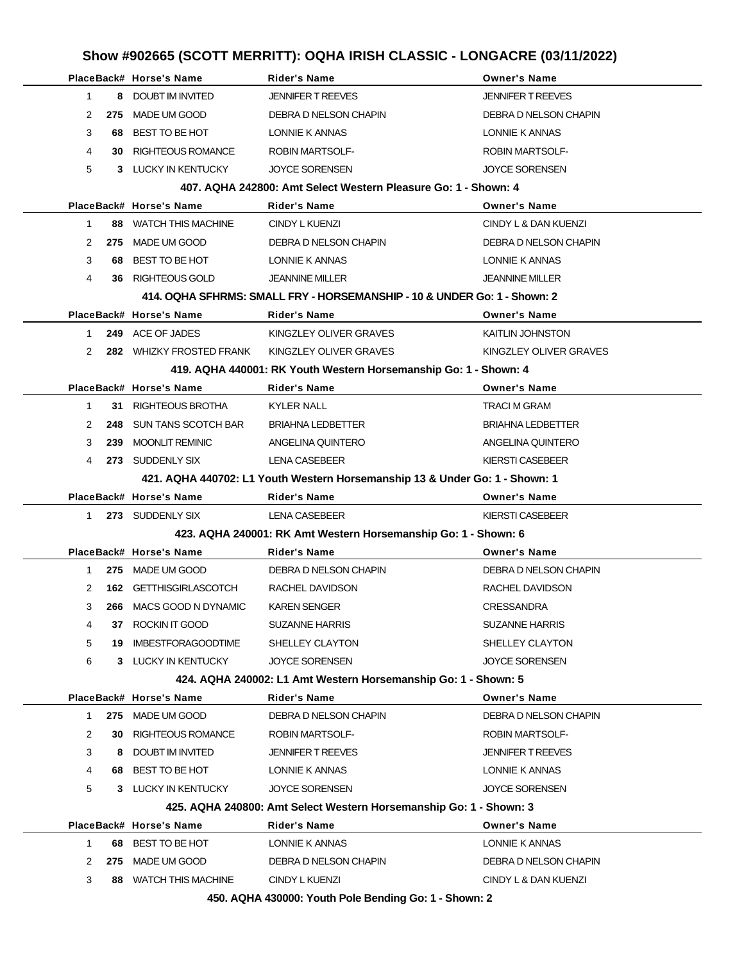# **Show #902665 (SCOTT MERRITT): OQHA IRISH CLASSIC - LONGACRE (03/11/2022)**

|                                                                | PlaceBack# Horse's Name          | <b>Rider's Name</b>                                                            | <b>Owner's Name</b>      |  |  |
|----------------------------------------------------------------|----------------------------------|--------------------------------------------------------------------------------|--------------------------|--|--|
| $\mathbf 1$                                                    | 8 DOUBT IM INVITED               | <b>JENNIFER T REEVES</b>                                                       | <b>JENNIFER T REEVES</b> |  |  |
| 2<br>275                                                       | MADE UM GOOD                     | DEBRA D NELSON CHAPIN                                                          | DEBRA D NELSON CHAPIN    |  |  |
| 3<br>68                                                        | BEST TO BE HOT                   | LONNIE K ANNAS                                                                 | LONNIE K ANNAS           |  |  |
| 4                                                              | <b>RIGHTEOUS ROMANCE</b><br>30 - | <b>ROBIN MARTSOLF-</b>                                                         | <b>ROBIN MARTSOLF-</b>   |  |  |
| 5                                                              | 3 LUCKY IN KENTUCKY              | <b>JOYCE SORENSEN</b>                                                          | <b>JOYCE SORENSEN</b>    |  |  |
| 407, AQHA 242800: Amt Select Western Pleasure Go: 1 - Shown: 4 |                                  |                                                                                |                          |  |  |
|                                                                | PlaceBack# Horse's Name          | Rider's Name                                                                   | <b>Owner's Name</b>      |  |  |
| $\mathbf{1}$                                                   | 88 WATCH THIS MACHINE            | <b>CINDY L KUENZI</b>                                                          | CINDY L & DAN KUENZI     |  |  |
| 2<br>275                                                       | MADE UM GOOD                     | DEBRA D NELSON CHAPIN                                                          | DEBRA D NELSON CHAPIN    |  |  |
| 3                                                              | 68 BEST TO BE HOT                | LONNIE K ANNAS                                                                 | LONNIE K ANNAS           |  |  |
| 4<br>36.                                                       | RIGHTEOUS GOLD                   | <b>JEANNINE MILLER</b>                                                         | <b>JEANNINE MILLER</b>   |  |  |
|                                                                |                                  | 414. OQHA SFHRMS: SMALL FRY - HORSEMANSHIP - 10 & UNDER Go: 1 - Shown: 2       |                          |  |  |
|                                                                | PlaceBack# Horse's Name          | Rider's Name                                                                   | <b>Owner's Name</b>      |  |  |
| $\mathbf{1}$                                                   | 249 ACE OF JADES                 | KINGZLEY OLIVER GRAVES                                                         | <b>KAITLIN JOHNSTON</b>  |  |  |
| 2                                                              | 282 WHIZKY FROSTED FRANK         | KINGZLEY OLIVER GRAVES                                                         | KINGZLEY OLIVER GRAVES   |  |  |
|                                                                |                                  | 419. AQHA 440001: RK Youth Western Horsemanship Go: 1 - Shown: 4               |                          |  |  |
|                                                                | PlaceBack# Horse's Name          | Rider's Name                                                                   | <b>Owner's Name</b>      |  |  |
| $\mathbf{1}$                                                   | RIGHTEOUS BROTHA<br>31           | <b>KYLER NALL</b>                                                              | TRACI M GRAM             |  |  |
| 2                                                              | 248 SUN TANS SCOTCH BAR          | <b>BRIAHNA LEDBETTER</b>                                                       | <b>BRIAHNA LEDBETTER</b> |  |  |
| 3<br>239                                                       | <b>MOONLIT REMINIC</b>           | ANGELINA QUINTERO                                                              | ANGELINA QUINTERO        |  |  |
| 4                                                              | 273 SUDDENLY SIX                 | <b>LENA CASEBEER</b>                                                           | KIERSTI CASEBEER         |  |  |
|                                                                |                                  | 421. AQHA 440702: L1 Youth Western Horsemanship 13 & Under Go: 1 - Shown: 1    |                          |  |  |
|                                                                |                                  |                                                                                |                          |  |  |
|                                                                | PlaceBack# Horse's Name          | Rider's Name                                                                   | <b>Owner's Name</b>      |  |  |
| 1.                                                             | 273 SUDDENLY SIX                 | <b>LENA CASEBEER</b>                                                           | <b>KIERSTI CASEBEER</b>  |  |  |
|                                                                |                                  | 423. AQHA 240001: RK Amt Western Horsemanship Go: 1 - Shown: 6                 |                          |  |  |
|                                                                | PlaceBack# Horse's Name          | <b>Rider's Name</b>                                                            | <b>Owner's Name</b>      |  |  |
| 1                                                              | 275 MADE UM GOOD                 | DEBRA D NELSON CHAPIN                                                          | DEBRA D NELSON CHAPIN    |  |  |
| 2<br>162                                                       | <b>GETTHISGIRLASCOTCH</b>        | RACHEL DAVIDSON                                                                | RACHEL DAVIDSON          |  |  |
| 3<br>266                                                       | MACS GOOD N DYNAMIC              | <b>KAREN SENGER</b>                                                            | <b>CRESSANDRA</b>        |  |  |
| 4                                                              | ROCKIN IT GOOD<br>37             | <b>SUZANNE HARRIS</b>                                                          | <b>SUZANNE HARRIS</b>    |  |  |
| 5<br>19                                                        | <b>IMBESTFORAGOODTIME</b>        | SHELLEY CLAYTON                                                                | SHELLEY CLAYTON          |  |  |
| 6                                                              | 3 LUCKY IN KENTUCKY              | <b>JOYCE SORENSEN</b>                                                          | <b>JOYCE SORENSEN</b>    |  |  |
|                                                                |                                  | 424. AQHA 240002: L1 Amt Western Horsemanship Go: 1 - Shown: 5                 |                          |  |  |
|                                                                | PlaceBack# Horse's Name          | <b>Rider's Name</b>                                                            | <b>Owner's Name</b>      |  |  |
| 275<br>1                                                       | MADE UM GOOD                     | DEBRA D NELSON CHAPIN                                                          | DEBRA D NELSON CHAPIN    |  |  |
| 2<br>30                                                        | <b>RIGHTEOUS ROMANCE</b>         | <b>ROBIN MARTSOLF-</b>                                                         | <b>ROBIN MARTSOLF-</b>   |  |  |
| 3                                                              | <b>DOUBT IM INVITED</b><br>8     | <b>JENNIFER T REEVES</b>                                                       | <b>JENNIFER T REEVES</b> |  |  |
| 4<br>68.                                                       | BEST TO BE HOT                   | LONNIE K ANNAS                                                                 | LONNIE K ANNAS           |  |  |
| 5                                                              | 3 LUCKY IN KENTUCKY              | <b>JOYCE SORENSEN</b>                                                          | <b>JOYCE SORENSEN</b>    |  |  |
|                                                                |                                  | 425. AQHA 240800: Amt Select Western Horsemanship Go: 1 - Shown: 3             |                          |  |  |
|                                                                | PlaceBack# Horse's Name          | <b>Rider's Name</b>                                                            | <b>Owner's Name</b>      |  |  |
| $\mathbf{1}$                                                   | 68 BEST TO BE HOT                | LONNIE K ANNAS                                                                 | LONNIE K ANNAS           |  |  |
| 2<br>275                                                       | MADE UM GOOD                     | DEBRA D NELSON CHAPIN                                                          | DEBRA D NELSON CHAPIN    |  |  |
| 3<br>88                                                        | <b>WATCH THIS MACHINE</b>        | <b>CINDY L KUENZI</b><br>450. AQHA 430000: Youth Pole Bending Go: 1 - Shown: 2 | CINDY L & DAN KUENZI     |  |  |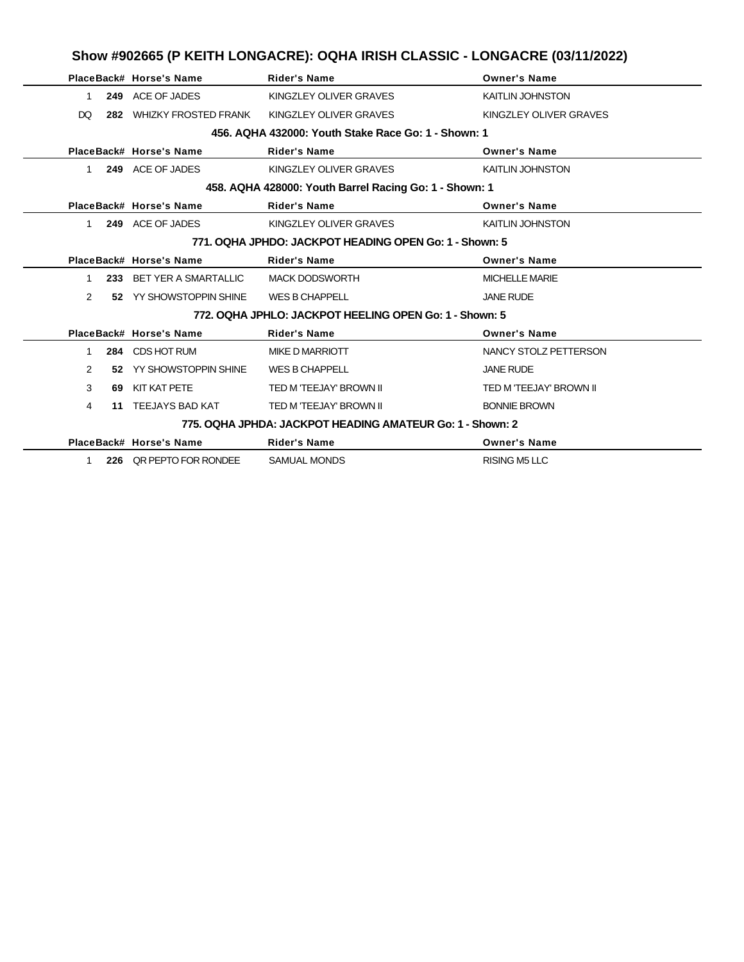|                |     | PlaceBack# Horse's Name     | <b>Rider's Name</b>                                       | <b>Owner's Name</b>     |  |  |
|----------------|-----|-----------------------------|-----------------------------------------------------------|-------------------------|--|--|
| 1              |     | 249 ACE OF JADES            | KINGZLEY OLIVER GRAVES                                    | <b>KAITLIN JOHNSTON</b> |  |  |
| DO             | 282 | <b>WHIZKY FROSTED FRANK</b> | KINGZLEY OLIVER GRAVES                                    | KINGZLEY OLIVER GRAVES  |  |  |
|                |     |                             | 456. AQHA 432000: Youth Stake Race Go: 1 - Shown: 1       |                         |  |  |
|                |     | PlaceBack# Horse's Name     | <b>Rider's Name</b>                                       | <b>Owner's Name</b>     |  |  |
| 1              |     | 249 ACE OF JADES            | KINGZLEY OLIVER GRAVES                                    | <b>KAITLIN JOHNSTON</b> |  |  |
|                |     |                             | 458. AQHA 428000: Youth Barrel Racing Go: 1 - Shown: 1    |                         |  |  |
|                |     | PlaceBack# Horse's Name     | <b>Rider's Name</b>                                       | <b>Owner's Name</b>     |  |  |
| 1.             |     | 249 ACE OF JADES            | KINGZLEY OLIVER GRAVES                                    | <b>KAITLIN JOHNSTON</b> |  |  |
|                |     |                             | 771, OQHA JPHDO: JACKPOT HEADING OPEN Go: 1 - Shown: 5    |                         |  |  |
|                |     | PlaceBack# Horse's Name     | <b>Rider's Name</b>                                       | <b>Owner's Name</b>     |  |  |
| 1              |     | 233 BET YER A SMARTALLIC    | <b>MACK DODSWORTH</b>                                     | <b>MICHELLE MARIE</b>   |  |  |
| $\overline{2}$ |     | 52 YY SHOWSTOPPIN SHINE     | <b>WES B CHAPPELL</b>                                     | <b>JANE RUDE</b>        |  |  |
|                |     |                             | 772. OQHA JPHLO: JACKPOT HEELING OPEN Go: 1 - Shown: 5    |                         |  |  |
|                |     | PlaceBack# Horse's Name     | <b>Rider's Name</b>                                       | <b>Owner's Name</b>     |  |  |
| 1              |     | 284 CDS HOT RUM             | MIKE D MARRIOTT                                           | NANCY STOLZ PETTERSON   |  |  |
| $\overline{2}$ | 52  | YY SHOWSTOPPIN SHINE        | <b>WES B CHAPPELL</b>                                     | <b>JANE RUDE</b>        |  |  |
| 3              | 69  | KIT KAT PETE                | TED M 'TEEJAY' BROWN II                                   | TED M 'TEEJAY' BROWN II |  |  |
| 4              | 11  | TEEJAYS BAD KAT             | TED M 'TEEJAY' BROWN II                                   | <b>BONNIE BROWN</b>     |  |  |
|                |     |                             | 775, OQHA JPHDA: JACKPOT HEADING AMATEUR Go: 1 - Shown: 2 |                         |  |  |
|                |     | PlaceBack# Horse's Name     | <b>Rider's Name</b>                                       | <b>Owner's Name</b>     |  |  |
| 1              |     | 226 OR PEPTO FOR RONDEE     | <b>SAMUAL MONDS</b>                                       | <b>RISING M5 LLC</b>    |  |  |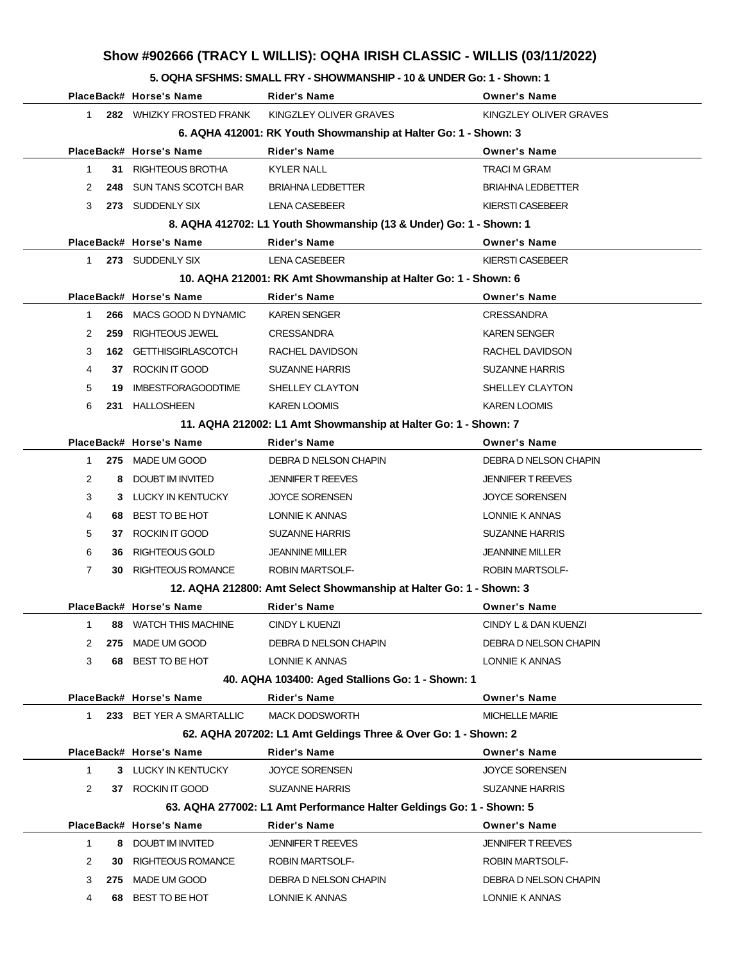# **Show #902666 (TRACY L WILLIS): OQHA IRISH CLASSIC - WILLIS (03/11/2022)**

### **5. OQHA SFSHMS: SMALL FRY - SHOWMANSHIP - 10 & UNDER Go: 1 - Shown: 1**

|                |     | PlaceBack# Horse's Name    | <b>Rider's Name</b>                                                  | <b>Owner's Name</b>      |
|----------------|-----|----------------------------|----------------------------------------------------------------------|--------------------------|
| $\mathbf 1$    |     | 282 WHIZKY FROSTED FRANK   | KINGZLEY OLIVER GRAVES                                               | KINGZLEY OLIVER GRAVES   |
|                |     |                            | 6. AQHA 412001: RK Youth Showmanship at Halter Go: 1 - Shown: 3      |                          |
|                |     | PlaceBack# Horse's Name    | <b>Rider's Name</b>                                                  | <b>Owner's Name</b>      |
| 1              |     | 31 RIGHTEOUS BROTHA        | <b>KYLER NALL</b>                                                    | <b>TRACI M GRAM</b>      |
| 2              | 248 | <b>SUN TANS SCOTCH BAR</b> | <b>BRIAHNA LEDBETTER</b>                                             | <b>BRIAHNA LEDBETTER</b> |
| 3              |     | 273 SUDDENLY SIX           | LENA CASEBEER                                                        | KIERSTI CASEBEER         |
|                |     |                            | 8. AQHA 412702: L1 Youth Showmanship (13 & Under) Go: 1 - Shown: 1   |                          |
|                |     | PlaceBack# Horse's Name    | <b>Rider's Name</b>                                                  | <b>Owner's Name</b>      |
| $\mathbf 1$    |     | 273 SUDDENLY SIX           | <b>LENA CASEBEER</b>                                                 | <b>KIERSTI CASEBEER</b>  |
|                |     |                            | 10. AQHA 212001: RK Amt Showmanship at Halter Go: 1 - Shown: 6       |                          |
|                |     | PlaceBack# Horse's Name    | <b>Rider's Name</b>                                                  | <b>Owner's Name</b>      |
| $\mathbf{1}$   | 266 | MACS GOOD N DYNAMIC        | <b>KAREN SENGER</b>                                                  | <b>CRESSANDRA</b>        |
| 2              | 259 | <b>RIGHTEOUS JEWEL</b>     | <b>CRESSANDRA</b>                                                    | <b>KAREN SENGER</b>      |
| 3              | 162 | <b>GETTHISGIRLASCOTCH</b>  | RACHEL DAVIDSON                                                      | RACHEL DAVIDSON          |
| 4              |     | 37 ROCKIN IT GOOD          | <b>SUZANNE HARRIS</b>                                                | <b>SUZANNE HARRIS</b>    |
| 5              | 19  | <b>IMBESTFORAGOODTIME</b>  | SHELLEY CLAYTON                                                      | SHELLEY CLAYTON          |
| 6              |     | 231 HALLOSHEEN             | <b>KAREN LOOMIS</b>                                                  | <b>KAREN LOOMIS</b>      |
|                |     |                            | 11. AQHA 212002: L1 Amt Showmanship at Halter Go: 1 - Shown: 7       |                          |
|                |     | PlaceBack# Horse's Name    | <b>Rider's Name</b>                                                  | <b>Owner's Name</b>      |
| 1              |     | 275 MADE UM GOOD           | DEBRA D NELSON CHAPIN                                                | DEBRA D NELSON CHAPIN    |
| 2              | 8   | <b>DOUBT IM INVITED</b>    | <b>JENNIFER T REEVES</b>                                             | <b>JENNIFER T REEVES</b> |
| 3              | 3   | LUCKY IN KENTUCKY          | <b>JOYCE SORENSEN</b>                                                | <b>JOYCE SORENSEN</b>    |
| 4              | 68  | BEST TO BE HOT             | LONNIE K ANNAS                                                       | LONNIE K ANNAS           |
| 5              | 37  | ROCKIN IT GOOD             | <b>SUZANNE HARRIS</b>                                                | SUZANNE HARRIS           |
| 6              | 36. | RIGHTEOUS GOLD             | <b>JEANNINE MILLER</b>                                               | <b>JEANNINE MILLER</b>   |
| $\overline{7}$ | 30  | <b>RIGHTEOUS ROMANCE</b>   | <b>ROBIN MARTSOLF-</b>                                               | <b>ROBIN MARTSOLF-</b>   |
|                |     |                            | 12. AQHA 212800: Amt Select Showmanship at Halter Go: 1 - Shown: 3   |                          |
|                |     | PlaceBack# Horse's Name    | <b>Rider's Name</b>                                                  | <b>Owner's Name</b>      |
|                |     | 88 WATCH THIS MACHINE      | CINDY L KUENZI                                                       | CINDY L & DAN KUENZI     |
| 2              |     | 275 MADE UM GOOD           | DEBRA D NELSON CHAPIN                                                | DEBRA D NELSON CHAPIN    |
| 3              |     | 68 BEST TO BE HOT          | LONNIE K ANNAS                                                       | LONNIE K ANNAS           |
|                |     |                            | 40. AQHA 103400: Aged Stallions Go: 1 - Shown: 1                     |                          |
|                |     | PlaceBack# Horse's Name    | <b>Rider's Name</b>                                                  | <b>Owner's Name</b>      |
| $\mathbf 1$    |     | 233 BET YER A SMARTALLIC   | <b>MACK DODSWORTH</b>                                                | <b>MICHELLE MARIE</b>    |
|                |     |                            | 62. AQHA 207202: L1 Amt Geldings Three & Over Go: 1 - Shown: 2       |                          |
|                |     | PlaceBack# Horse's Name    | <b>Rider's Name</b>                                                  | <b>Owner's Name</b>      |
| $\mathbf{1}$   |     | 3 LUCKY IN KENTUCKY        | <b>JOYCE SORENSEN</b>                                                | <b>JOYCE SORENSEN</b>    |
| 2              |     | 37 ROCKIN IT GOOD          | <b>SUZANNE HARRIS</b>                                                | SUZANNE HARRIS           |
|                |     |                            | 63. AQHA 277002: L1 Amt Performance Halter Geldings Go: 1 - Shown: 5 |                          |
|                |     | PlaceBack# Horse's Name    | Rider's Name                                                         | <b>Owner's Name</b>      |
| 1              | 8   | <b>DOUBT IM INVITED</b>    | <b>JENNIFER T REEVES</b>                                             | <b>JENNIFER T REEVES</b> |
| 2              | 30  | RIGHTEOUS ROMANCE          | ROBIN MARTSOLF-                                                      | ROBIN MARTSOLF-          |
| 3              | 275 | MADE UM GOOD               | DEBRA D NELSON CHAPIN                                                | DEBRA D NELSON CHAPIN    |
| 4              |     | 68 BEST TO BE HOT          | LONNIE K ANNAS                                                       | LONNIE K ANNAS           |
|                |     |                            |                                                                      |                          |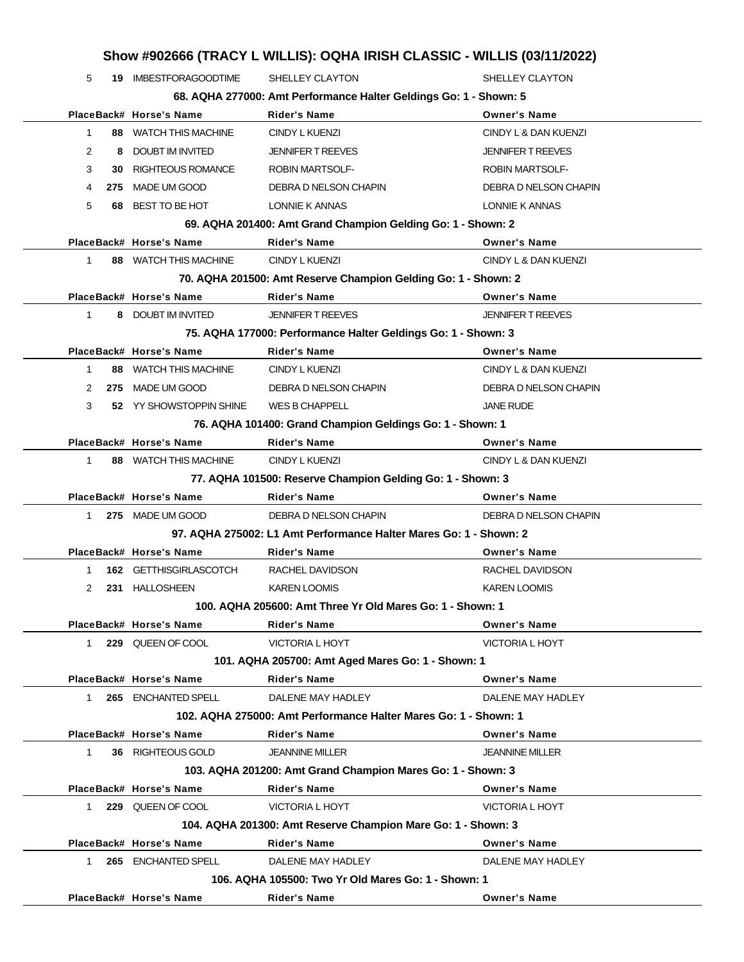### **Show #902666 (TRACY L WILLIS): OQHA IRISH CLASSIC - WILLIS (03/11/2022)**

| 5                                                 |   | <b>19 IMBESTFORAGOODTIME</b> | SHELLEY CLAYTON                                                   | SHELLEY CLAYTON          |
|---------------------------------------------------|---|------------------------------|-------------------------------------------------------------------|--------------------------|
|                                                   |   |                              | 68. AQHA 277000: Amt Performance Halter Geldings Go: 1 - Shown: 5 |                          |
|                                                   |   | PlaceBack# Horse's Name      | <b>Rider's Name</b>                                               | <b>Owner's Name</b>      |
| 1                                                 |   | 88 WATCH THIS MACHINE        | CINDY L KUENZI                                                    | CINDY L & DAN KUENZI     |
| 2                                                 | 8 | DOUBT IM INVITED             | <b>JENNIFER T REEVES</b>                                          | <b>JENNIFER T REEVES</b> |
| 3                                                 |   | <b>30 RIGHTEOUS ROMANCE</b>  | <b>ROBIN MARTSOLF-</b>                                            | <b>ROBIN MARTSOLF-</b>   |
| 4                                                 |   | 275 MADE UM GOOD             | DEBRA D NELSON CHAPIN                                             | DEBRA D NELSON CHAPIN    |
| 5                                                 |   | 68 BEST TO BE HOT            | LONNIE K ANNAS                                                    | LONNIE K ANNAS           |
|                                                   |   |                              | 69. AQHA 201400: Amt Grand Champion Gelding Go: 1 - Shown: 2      |                          |
|                                                   |   | PlaceBack# Horse's Name      | <b>Rider's Name</b>                                               | <b>Owner's Name</b>      |
| 1                                                 |   | <b>88 WATCH THIS MACHINE</b> | <b>CINDY L KUENZI</b>                                             | CINDY L & DAN KUENZI     |
|                                                   |   |                              | 70. AQHA 201500: Amt Reserve Champion Gelding Go: 1 - Shown: 2    |                          |
|                                                   |   | PlaceBack# Horse's Name      | <b>Rider's Name</b>                                               | <b>Owner's Name</b>      |
| $\mathbf{1}$                                      |   | 8 DOUBT IM INVITED           | <b>JENNIFER T REEVES</b>                                          | <b>JENNIFER T REEVES</b> |
|                                                   |   |                              | 75. AQHA 177000: Performance Halter Geldings Go: 1 - Shown: 3     |                          |
|                                                   |   | PlaceBack# Horse's Name      | <b>Rider's Name</b>                                               | <b>Owner's Name</b>      |
| $\mathbf{1}$                                      |   | 88 WATCH THIS MACHINE        | <b>CINDY L KUENZI</b>                                             | CINDY L & DAN KUENZI     |
| 2                                                 |   | 275 MADE UM GOOD             | DEBRA D NELSON CHAPIN                                             | DEBRA D NELSON CHAPIN    |
| 3                                                 |   | 52 YY SHOWSTOPPIN SHINE      | <b>WES B CHAPPELL</b>                                             | <b>JANE RUDE</b>         |
|                                                   |   |                              | 76. AQHA 101400: Grand Champion Geldings Go: 1 - Shown: 1         |                          |
|                                                   |   | PlaceBack# Horse's Name      | <b>Rider's Name</b>                                               | <b>Owner's Name</b>      |
| $\mathbf{1}$                                      |   | 88 WATCH THIS MACHINE        | CINDY L KUENZI                                                    | CINDY L & DAN KUENZI     |
|                                                   |   |                              | 77. AQHA 101500: Reserve Champion Gelding Go: 1 - Shown: 3        |                          |
|                                                   |   | PlaceBack# Horse's Name      | <b>Rider's Name</b>                                               | <b>Owner's Name</b>      |
| $\mathbf 1$                                       |   | 275 MADE UM GOOD             | DEBRA D NELSON CHAPIN                                             | DEBRA D NELSON CHAPIN    |
|                                                   |   |                              | 97. AQHA 275002: L1 Amt Performance Halter Mares Go: 1 - Shown: 2 |                          |
|                                                   |   | PlaceBack# Horse's Name      | <b>Rider's Name</b>                                               | <b>Owner's Name</b>      |
| 1                                                 |   | 162 GETTHISGIRLASCOTCH       | RACHEL DAVIDSON                                                   | RACHEL DAVIDSON          |
| 2                                                 |   | 231 HALLOSHEEN               | <b>KAREN LOOMIS</b>                                               | <b>KAREN LOOMIS</b>      |
|                                                   |   |                              | 100. AQHA 205600: Amt Three Yr Old Mares Go: 1 - Shown: 1         |                          |
|                                                   |   | PlaceBack# Horse's Name      | <b>Rider's Name</b>                                               | <b>Owner's Name</b>      |
| $\mathbf{1}$                                      |   | 229 QUEEN OF COOL            | <b>VICTORIA L HOYT</b>                                            | <b>VICTORIA L HOYT</b>   |
| 101. AQHA 205700: Amt Aged Mares Go: 1 - Shown: 1 |   |                              |                                                                   |                          |
|                                                   |   | PlaceBack# Horse's Name      | <b>Rider's Name</b>                                               | <b>Owner's Name</b>      |
| 1                                                 |   | 265 ENCHANTED SPELL          | DALENE MAY HADLEY                                                 | DALENE MAY HADLEY        |
|                                                   |   |                              | 102. AQHA 275000: Amt Performance Halter Mares Go: 1 - Shown: 1   |                          |
|                                                   |   | PlaceBack# Horse's Name      | Rider's Name                                                      | <b>Owner's Name</b>      |
| 1                                                 |   | 36 RIGHTEOUS GOLD            | <b>JEANNINE MILLER</b>                                            | <b>JEANNINE MILLER</b>   |
|                                                   |   |                              | 103. AQHA 201200: Amt Grand Champion Mares Go: 1 - Shown: 3       |                          |
|                                                   |   | PlaceBack# Horse's Name      | <b>Rider's Name</b>                                               | <b>Owner's Name</b>      |
| 1.                                                |   | 229 QUEEN OF COOL            | <b>VICTORIA L HOYT</b>                                            | <b>VICTORIA L HOYT</b>   |
|                                                   |   |                              | 104. AQHA 201300: Amt Reserve Champion Mare Go: 1 - Shown: 3      |                          |
|                                                   |   |                              |                                                                   |                          |
|                                                   |   | PlaceBack# Horse's Name      | <b>Rider's Name</b>                                               | <b>Owner's Name</b>      |
| 1                                                 |   | 265 ENCHANTED SPELL          | DALENE MAY HADLEY                                                 | DALENE MAY HADLEY        |

**PlaceBack# Horse's Name Rider's Name Owner's Name**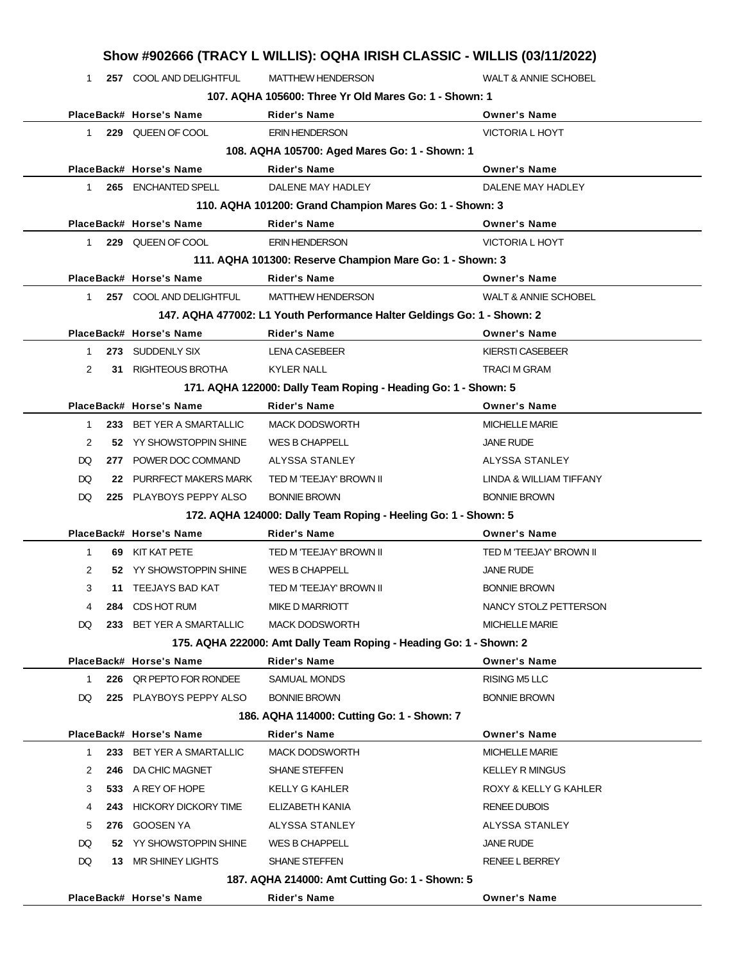|              | Show #902666 (TRACY L WILLIS): OQHA IRISH CLASSIC - WILLIS (03/11/2022) |                             |                                                                         |                                 |  |
|--------------|-------------------------------------------------------------------------|-----------------------------|-------------------------------------------------------------------------|---------------------------------|--|
| $\mathbf 1$  |                                                                         | 257 COOL AND DELIGHTFUL     | <b>MATTHEW HENDERSON</b>                                                | <b>WALT &amp; ANNIE SCHOBEL</b> |  |
|              | 107. AQHA 105600: Three Yr Old Mares Go: 1 - Shown: 1                   |                             |                                                                         |                                 |  |
|              |                                                                         | PlaceBack# Horse's Name     | <b>Rider's Name</b>                                                     | <b>Owner's Name</b>             |  |
| $\mathbf{1}$ |                                                                         | 229 QUEEN OF COOL           | <b>ERIN HENDERSON</b>                                                   | <b>VICTORIA L HOYT</b>          |  |
|              |                                                                         |                             | 108. AQHA 105700: Aged Mares Go: 1 - Shown: 1                           |                                 |  |
|              |                                                                         | PlaceBack# Horse's Name     | <b>Rider's Name</b>                                                     | <b>Owner's Name</b>             |  |
| 1.           |                                                                         | 265 ENCHANTED SPELL         | DALENE MAY HADLEY                                                       | DALENE MAY HADLEY               |  |
|              |                                                                         |                             | 110. AQHA 101200: Grand Champion Mares Go: 1 - Shown: 3                 |                                 |  |
|              |                                                                         | PlaceBack# Horse's Name     | <b>Rider's Name</b>                                                     | <b>Owner's Name</b>             |  |
| $\mathbf{1}$ |                                                                         | 229 QUEEN OF COOL           | <b>ERIN HENDERSON</b>                                                   | <b>VICTORIA L HOYT</b>          |  |
|              |                                                                         |                             | 111. AQHA 101300: Reserve Champion Mare Go: 1 - Shown: 3                |                                 |  |
|              |                                                                         | PlaceBack# Horse's Name     | <b>Rider's Name</b>                                                     | <b>Owner's Name</b>             |  |
| 1            |                                                                         | 257 COOL AND DELIGHTFUL     | <b>MATTHEW HENDERSON</b>                                                | <b>WALT &amp; ANNIE SCHOBEL</b> |  |
|              |                                                                         |                             | 147. AQHA 477002: L1 Youth Performance Halter Geldings Go: 1 - Shown: 2 |                                 |  |
|              |                                                                         | PlaceBack# Horse's Name     | <b>Rider's Name</b>                                                     | <b>Owner's Name</b>             |  |
| $\mathbf 1$  |                                                                         | 273 SUDDENLY SIX            | <b>LENA CASEBEER</b>                                                    | <b>KIERSTI CASEBEER</b>         |  |
| 2            |                                                                         | 31 RIGHTEOUS BROTHA         | <b>KYLER NALL</b>                                                       | <b>TRACI M GRAM</b>             |  |
|              |                                                                         |                             | 171. AQHA 122000: Dally Team Roping - Heading Go: 1 - Shown: 5          |                                 |  |
|              |                                                                         | PlaceBack# Horse's Name     | <b>Rider's Name</b>                                                     | <b>Owner's Name</b>             |  |
| 1            |                                                                         | 233 BET YER A SMARTALLIC    | <b>MACK DODSWORTH</b>                                                   | <b>MICHELLE MARIE</b>           |  |
| 2            |                                                                         | 52 YY SHOWSTOPPIN SHINE     | WES B CHAPPELL                                                          | <b>JANE RUDE</b>                |  |
| DQ           |                                                                         | 277 POWER DOC COMMAND       | ALYSSA STANLEY                                                          | ALYSSA STANLEY                  |  |
| DQ           |                                                                         | 22 PURRFECT MAKERS MARK     | TED M 'TEEJAY' BROWN II                                                 | LINDA & WILLIAM TIFFANY         |  |
| DQ           |                                                                         | 225 PLAYBOYS PEPPY ALSO     | <b>BONNIE BROWN</b>                                                     | <b>BONNIE BROWN</b>             |  |
|              |                                                                         |                             | 172. AQHA 124000: Dally Team Roping - Heeling Go: 1 - Shown: 5          |                                 |  |
|              |                                                                         | PlaceBack# Horse's Name     | <b>Rider's Name</b>                                                     | <b>Owner's Name</b>             |  |
| 1            |                                                                         | 69 KIT KAT PETE             | TED M 'TEEJAY' BROWN II                                                 | TED M 'TEEJAY' BROWN II         |  |
| 2            |                                                                         | 52 YY SHOWSTOPPIN SHINE     | <b>WES B CHAPPELL</b>                                                   | <b>JANE RUDE</b>                |  |
| 3            |                                                                         | 11 TEEJAYS BAD KAT          | TED M 'TEEJAY' BROWN II                                                 | <b>BONNIE BROWN</b>             |  |
| 4            |                                                                         | 284 CDS HOT RUM             | <b>MIKE D MARRIOTT</b>                                                  | NANCY STOLZ PETTERSON           |  |
| DQ           |                                                                         | 233 BET YER A SMARTALLIC    | <b>MACK DODSWORTH</b>                                                   | <b>MICHELLE MARIE</b>           |  |
|              |                                                                         |                             | 175. AQHA 222000: Amt Dally Team Roping - Heading Go: 1 - Shown: 2      |                                 |  |
|              |                                                                         | PlaceBack# Horse's Name     | <b>Rider's Name</b>                                                     | <b>Owner's Name</b>             |  |
| $\mathbf{1}$ |                                                                         | 226 OR PEPTO FOR RONDEE     | <b>SAMUAL MONDS</b>                                                     | <b>RISING M5 LLC</b>            |  |
| DQ           |                                                                         | 225 PLAYBOYS PEPPY ALSO     | <b>BONNIE BROWN</b>                                                     | <b>BONNIE BROWN</b>             |  |
|              |                                                                         |                             | 186. AQHA 114000: Cutting Go: 1 - Shown: 7                              |                                 |  |
|              |                                                                         | PlaceBack# Horse's Name     | <b>Rider's Name</b>                                                     | <b>Owner's Name</b>             |  |
| 1            | 233                                                                     | <b>BET YER A SMARTALLIC</b> | <b>MACK DODSWORTH</b>                                                   | <b>MICHELLE MARIE</b>           |  |
| 2            | 246                                                                     | DA CHIC MAGNET              | <b>SHANE STEFFEN</b>                                                    | <b>KELLEY R MINGUS</b>          |  |
| 3            |                                                                         | 533 A REY OF HOPE           | <b>KELLY G KAHLER</b>                                                   | ROXY & KELLY G KAHLER           |  |
| 4            | 243                                                                     | <b>HICKORY DICKORY TIME</b> | ELIZABETH KANIA                                                         | <b>RENEE DUBOIS</b>             |  |
| 5            |                                                                         | 276 GOOSEN YA               | ALYSSA STANLEY                                                          | ALYSSA STANLEY                  |  |
| DQ           |                                                                         | 52 YY SHOWSTOPPIN SHINE     | <b>WES B CHAPPELL</b>                                                   | JANE RUDE                       |  |
| DQ           |                                                                         | 13 MR SHINEY LIGHTS         | <b>SHANE STEFFEN</b>                                                    | <b>RENEE L BERREY</b>           |  |
|              |                                                                         |                             | 187. AQHA 214000: Amt Cutting Go: 1 - Shown: 5                          |                                 |  |
|              |                                                                         | PlaceBack# Horse's Name     | Rider's Name                                                            | <b>Owner's Name</b>             |  |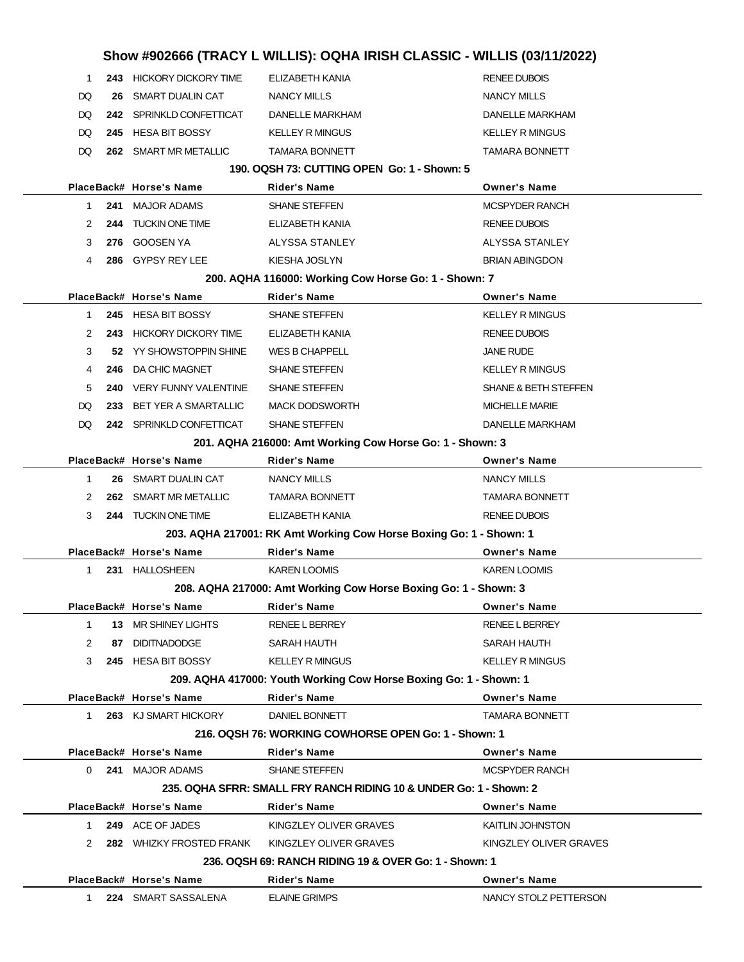|                                                                   |              |     |                          | Show #902666 (TRACY L WILLIS): OQHA IRISH CLASSIC - WILLIS (03/11/2022) |                                 |
|-------------------------------------------------------------------|--------------|-----|--------------------------|-------------------------------------------------------------------------|---------------------------------|
|                                                                   | 1            |     | 243 HICKORY DICKORY TIME | ELIZABETH KANIA                                                         | <b>RENEE DUBOIS</b>             |
|                                                                   | DQ           | 26  | SMART DUALIN CAT         | NANCY MILLS                                                             | <b>NANCY MILLS</b>              |
|                                                                   | DQ           |     | 242 SPRINKLD CONFETTICAT | <b>DANELLE MARKHAM</b>                                                  | DANELLE MARKHAM                 |
|                                                                   | DQ           |     | 245 HESA BIT BOSSY       | <b>KELLEY R MINGUS</b>                                                  | <b>KELLEY R MINGUS</b>          |
|                                                                   | DQ           |     | 262 SMART MR METALLIC    | <b>TAMARA BONNETT</b>                                                   | <b>TAMARA BONNETT</b>           |
|                                                                   |              |     |                          | 190. OQSH 73: CUTTING OPEN Go: 1 - Shown: 5                             |                                 |
|                                                                   |              |     | PlaceBack# Horse's Name  | <b>Rider's Name</b>                                                     | <b>Owner's Name</b>             |
|                                                                   | 1            |     | 241 MAJOR ADAMS          | <b>SHANE STEFFEN</b>                                                    | <b>MCSPYDER RANCH</b>           |
|                                                                   | 2            |     | 244 TUCKIN ONE TIME      | ELIZABETH KANIA                                                         | <b>RENEE DUBOIS</b>             |
|                                                                   | 3            |     | 276 GOOSEN YA            | ALYSSA STANLEY                                                          | ALYSSA STANLEY                  |
|                                                                   | 4            |     | 286 GYPSY REY LEE        | KIESHA JOSLYN                                                           | <b>BRIAN ABINGDON</b>           |
|                                                                   |              |     |                          | 200. AQHA 116000: Working Cow Horse Go: 1 - Shown: 7                    |                                 |
|                                                                   |              |     | PlaceBack# Horse's Name  | <b>Rider's Name</b>                                                     | <b>Owner's Name</b>             |
|                                                                   | 1            |     | 245 HESA BIT BOSSY       | <b>SHANE STEFFEN</b>                                                    | <b>KELLEY R MINGUS</b>          |
|                                                                   | 2            |     | 243 HICKORY DICKORY TIME | ELIZABETH KANIA                                                         | <b>RENEE DUBOIS</b>             |
|                                                                   | 3            |     | 52 YY SHOWSTOPPIN SHINE  | WES B CHAPPELL                                                          | <b>JANE RUDE</b>                |
|                                                                   | 4            | 246 | DA CHIC MAGNET           | SHANE STEFFEN                                                           | <b>KELLEY R MINGUS</b>          |
|                                                                   | 5            |     | 240 VERY FUNNY VALENTINE | <b>SHANE STEFFEN</b>                                                    | <b>SHANE &amp; BETH STEFFEN</b> |
|                                                                   | DQ           | 233 | BET YER A SMARTALLIC     | <b>MACK DODSWORTH</b>                                                   | <b>MICHELLE MARIE</b>           |
|                                                                   | DQ           |     | 242 SPRINKLD CONFETTICAT | <b>SHANE STEFFEN</b>                                                    | DANELLE MARKHAM                 |
|                                                                   |              |     |                          | 201. AQHA 216000: Amt Working Cow Horse Go: 1 - Shown: 3                |                                 |
|                                                                   |              |     | PlaceBack# Horse's Name  | <b>Rider's Name</b>                                                     | <b>Owner's Name</b>             |
|                                                                   | $\mathbf{1}$ |     | 26 SMART DUALIN CAT      | <b>NANCY MILLS</b>                                                      | <b>NANCY MILLS</b>              |
|                                                                   | 2            |     | 262 SMART MR METALLIC    | <b>TAMARA BONNETT</b>                                                   | <b>TAMARA BONNETT</b>           |
|                                                                   | 3            |     | 244 TUCKIN ONE TIME      | ELIZABETH KANIA                                                         | <b>RENEE DUBOIS</b>             |
|                                                                   |              |     |                          | 203. AQHA 217001: RK Amt Working Cow Horse Boxing Go: 1 - Shown: 1      |                                 |
|                                                                   |              |     | PlaceBack# Horse's Name  | <b>Rider's Name</b>                                                     | <b>Owner's Name</b>             |
|                                                                   | 1            |     | 231 HALLOSHEEN           | <b>KAREN LOOMIS</b>                                                     | <b>KAREN LOOMIS</b>             |
|                                                                   |              |     |                          | 208. AQHA 217000: Amt Working Cow Horse Boxing Go: 1 - Shown: 3         |                                 |
|                                                                   |              |     | PlaceBack# Horse's Name  | <b>Rider's Name</b>                                                     | <b>Owner's Name</b>             |
|                                                                   | $\mathbf{1}$ |     | 13 MR SHINEY LIGHTS      | <b>RENEE L BERREY</b>                                                   | <b>RENEE L BERREY</b>           |
|                                                                   | 2            | 87  | <b>DIDITNADODGE</b>      | SARAH HAUTH                                                             | SARAH HAUTH                     |
|                                                                   | 3            |     | 245 HESA BIT BOSSY       | <b>KELLEY R MINGUS</b>                                                  | <b>KELLEY R MINGUS</b>          |
| 209. AQHA 417000: Youth Working Cow Horse Boxing Go: 1 - Shown: 1 |              |     |                          |                                                                         |                                 |
|                                                                   |              |     | PlaceBack# Horse's Name  | <b>Rider's Name</b>                                                     | <b>Owner's Name</b>             |
|                                                                   | 1            |     | 263 KJ SMART HICKORY     | <b>DANIEL BONNETT</b>                                                   | <b>TAMARA BONNETT</b>           |
|                                                                   |              |     |                          | 216. OQSH 76: WORKING COWHORSE OPEN Go: 1 - Shown: 1                    |                                 |
|                                                                   |              |     | PlaceBack# Horse's Name  | Rider's Name                                                            | <b>Owner's Name</b>             |
|                                                                   | 0            |     | 241 MAJOR ADAMS          | <b>SHANE STEFFEN</b>                                                    | <b>MCSPYDER RANCH</b>           |
|                                                                   |              |     |                          | 235, OQHA SFRR: SMALL FRY RANCH RIDING 10 & UNDER Go: 1 - Shown: 2      |                                 |
|                                                                   |              |     | PlaceBack# Horse's Name  | <b>Rider's Name</b>                                                     | <b>Owner's Name</b>             |
|                                                                   | 1            |     | 249 ACE OF JADES         | KINGZLEY OLIVER GRAVES                                                  | <b>KAITLIN JOHNSTON</b>         |
|                                                                   | 2            |     |                          | 282 WHIZKY FROSTED FRANK KINGZLEY OLIVER GRAVES                         | KINGZLEY OLIVER GRAVES          |
|                                                                   |              |     |                          | 236. OQSH 69: RANCH RIDING 19 & OVER Go: 1 - Shown: 1                   |                                 |
|                                                                   |              |     | PlaceBack# Horse's Name  | <b>Rider's Name</b>                                                     | <b>Owner's Name</b>             |
|                                                                   | 1.           |     | 224 SMART SASSALENA      | <b>ELAINE GRIMPS</b>                                                    | NANCY STOLZ PETTERSON           |
|                                                                   |              |     |                          |                                                                         |                                 |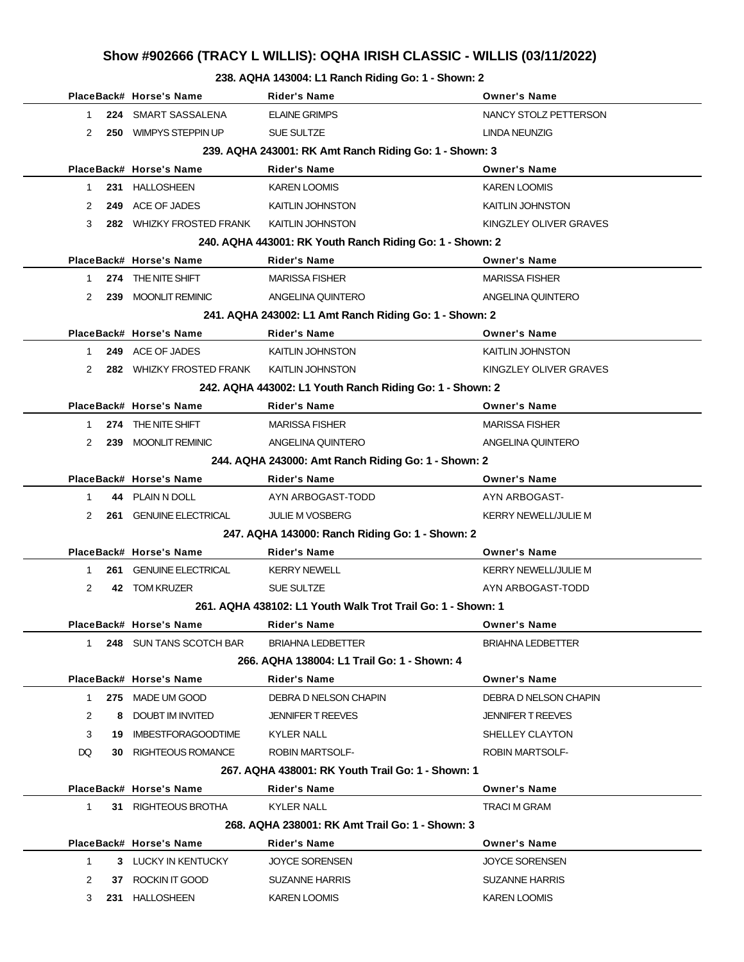# **Show #902666 (TRACY L WILLIS): OQHA IRISH CLASSIC - WILLIS (03/11/2022)**

**238. AQHA 143004: L1 Ranch Riding Go: 1 - Shown: 2**

|              | PlaceBack# Horse's Name       | <b>Rider's Name</b>                                         | <b>Owner's Name</b>         |
|--------------|-------------------------------|-------------------------------------------------------------|-----------------------------|
| 1.           | 224 SMART SASSALENA           | <b>ELAINE GRIMPS</b>                                        | NANCY STOLZ PETTERSON       |
| 2            | 250 WIMPYS STEPPIN UP         | <b>SUE SULTZE</b>                                           | LINDA NEUNZIG               |
|              |                               | 239. AQHA 243001: RK Amt Ranch Riding Go: 1 - Shown: 3      |                             |
|              | PlaceBack# Horse's Name       | Rider's Name                                                | <b>Owner's Name</b>         |
| 1            | 231 HALLOSHEEN                | <b>KAREN LOOMIS</b>                                         | <b>KAREN LOOMIS</b>         |
| 2            | 249 ACE OF JADES              | <b>KAITLIN JOHNSTON</b>                                     | <b>KAITLIN JOHNSTON</b>     |
| 3            | 282 WHIZKY FROSTED FRANK      | <b>KAITLIN JOHNSTON</b>                                     | KINGZLEY OLIVER GRAVES      |
|              |                               | 240. AQHA 443001: RK Youth Ranch Riding Go: 1 - Shown: 2    |                             |
|              | PlaceBack# Horse's Name       | <b>Rider's Name</b>                                         | <b>Owner's Name</b>         |
| 1            | 274 THE NITE SHIFT            | <b>MARISSA FISHER</b>                                       | <b>MARISSA FISHER</b>       |
| 2            | 239 MOONLIT REMINIC           | ANGELINA QUINTERO                                           | ANGELINA QUINTERO           |
|              |                               | 241. AQHA 243002: L1 Amt Ranch Riding Go: 1 - Shown: 2      |                             |
|              | PlaceBack# Horse's Name       | <b>Rider's Name</b>                                         | <b>Owner's Name</b>         |
| 1            | 249 ACE OF JADES              | <b>KAITLIN JOHNSTON</b>                                     | <b>KAITLIN JOHNSTON</b>     |
| 2            | 282 WHIZKY FROSTED FRANK      | <b>KAITLIN JOHNSTON</b>                                     | KINGZLEY OLIVER GRAVES      |
|              |                               | 242. AQHA 443002: L1 Youth Ranch Riding Go: 1 - Shown: 2    |                             |
|              | PlaceBack# Horse's Name       | <b>Rider's Name</b>                                         | <b>Owner's Name</b>         |
| 1            | 274 THE NITE SHIFT            | <b>MARISSA FISHER</b>                                       | <b>MARISSA FISHER</b>       |
| 2            | 239 MOONLIT REMINIC           | ANGELINA QUINTERO                                           | ANGELINA QUINTERO           |
|              |                               | 244. AQHA 243000: Amt Ranch Riding Go: 1 - Shown: 2         |                             |
|              | PlaceBack# Horse's Name       | <b>Rider's Name</b>                                         | <b>Owner's Name</b>         |
| 1            | 44 PLAIN N DOLL               | AYN ARBOGAST-TODD                                           | AYN ARBOGAST-               |
| 2            | 261 GENUINE ELECTRICAL        | <b>JULIE M VOSBERG</b>                                      | <b>KERRY NEWELL/JULIE M</b> |
|              |                               | 247. AQHA 143000: Ranch Riding Go: 1 - Shown: 2             |                             |
|              | PlaceBack# Horse's Name       | <b>Rider's Name</b>                                         | <b>Owner's Name</b>         |
| 1            | <b>261 GENUINE ELECTRICAL</b> | <b>KERRY NEWELL</b>                                         | <b>KERRY NEWELL/JULIE M</b> |
| 2            | 42 TOM KRUZER                 | <b>SUE SULTZE</b>                                           | AYN ARBOGAST-TODD           |
|              |                               | 261, AQHA 438102: L1 Youth Walk Trot Trail Go: 1 - Shown: 1 |                             |
|              | PlaceBack# Horse's Name       | Rider's Name                                                | <b>Owner's Name</b>         |
| 1            | 248 SUN TANS SCOTCH BAR       | <b>BRIAHNA LEDBETTER</b>                                    | <b>BRIAHNA LEDBETTER</b>    |
|              |                               | 266. AQHA 138004: L1 Trail Go: 1 - Shown: 4                 |                             |
|              | PlaceBack# Horse's Name       | Rider's Name                                                | <b>Owner's Name</b>         |
| $\mathbf{1}$ | 275 MADE UM GOOD              | DEBRA D NELSON CHAPIN                                       | DEBRA D NELSON CHAPIN       |
| 2            | 8 DOUBT IM INVITED            | <b>JENNIFER T REEVES</b>                                    | <b>JENNIFER T REEVES</b>    |
| 3            | 19 IMBESTFORAGOODTIME         | <b>KYLER NALL</b>                                           | SHELLEY CLAYTON             |
| DQ.          | <b>30 RIGHTEOUS ROMANCE</b>   | <b>ROBIN MARTSOLF-</b>                                      | <b>ROBIN MARTSOLF-</b>      |
|              |                               | 267. AQHA 438001: RK Youth Trail Go: 1 - Shown: 1           |                             |
|              | PlaceBack# Horse's Name       | Rider's Name                                                | <b>Owner's Name</b>         |
| $\mathbf{1}$ | 31 RIGHTEOUS BROTHA           | KYLER NALL                                                  | TRACI M GRAM                |
|              |                               | 268, AQHA 238001: RK Amt Trail Go: 1 - Shown: 3             |                             |
|              | PlaceBack# Horse's Name       | <b>Rider's Name</b>                                         | <b>Owner's Name</b>         |
| $\mathbf{1}$ | 3 LUCKY IN KENTUCKY           | <b>JOYCE SORENSEN</b>                                       | <b>JOYCE SORENSEN</b>       |
| 2            | 37 ROCKIN IT GOOD             | <b>SUZANNE HARRIS</b>                                       | <b>SUZANNE HARRIS</b>       |
| 3            | 231 HALLOSHEEN                | <b>KAREN LOOMIS</b>                                         | <b>KAREN LOOMIS</b>         |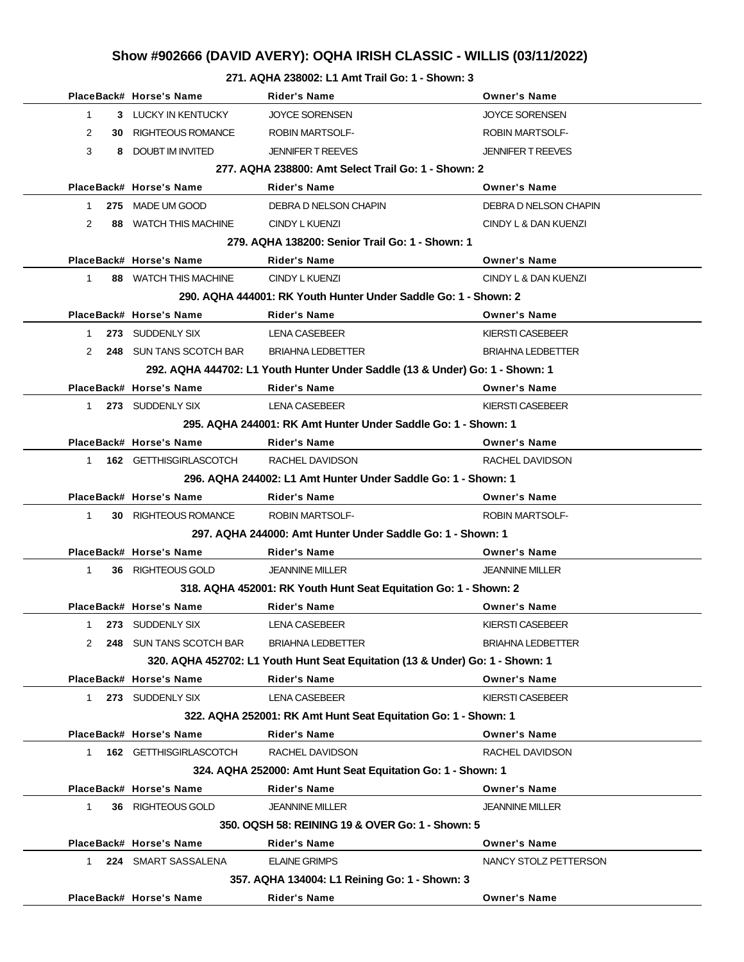# **Show #902666 (DAVID AVERY): OQHA IRISH CLASSIC - WILLIS (03/11/2022)**

**271. AQHA 238002: L1 Amt Trail Go: 1 - Shown: 3**

|                | PlaceBack# Horse's Name     | <b>Rider's Name</b>                                                           | <b>Owner's Name</b>      |
|----------------|-----------------------------|-------------------------------------------------------------------------------|--------------------------|
| $\mathbf 1$    | 3 LUCKY IN KENTUCKY         | <b>JOYCE SORENSEN</b>                                                         | <b>JOYCE SORENSEN</b>    |
| 2              | <b>30 RIGHTEOUS ROMANCE</b> | <b>ROBIN MARTSOLF-</b>                                                        | <b>ROBIN MARTSOLF-</b>   |
| 3              | 8 DOUBT IM INVITED          | <b>JENNIFER T REEVES</b>                                                      | <b>JENNIFER T REEVES</b> |
|                |                             | 277. AQHA 238800: Amt Select Trail Go: 1 - Shown: 2                           |                          |
|                | PlaceBack# Horse's Name     | <b>Rider's Name</b>                                                           | <b>Owner's Name</b>      |
| $1 \quad$      | 275 MADE UM GOOD            | DEBRA D NELSON CHAPIN                                                         | DEBRA D NELSON CHAPIN    |
| $\overline{2}$ | 88 WATCH THIS MACHINE       | <b>CINDY L KUENZI</b>                                                         | CINDY L & DAN KUENZI     |
|                |                             | 279. AQHA 138200: Senior Trail Go: 1 - Shown: 1                               |                          |
|                | PlaceBack# Horse's Name     | Rider's Name                                                                  | <b>Owner's Name</b>      |
| $\mathbf{1}$   | 88 WATCH THIS MACHINE       | CINDY L KUENZI                                                                | CINDY L & DAN KUENZI     |
|                |                             | 290. AQHA 444001: RK Youth Hunter Under Saddle Go: 1 - Shown: 2               |                          |
|                | PlaceBack# Horse's Name     | Rider's Name                                                                  | <b>Owner's Name</b>      |
| $1 \quad$      | 273 SUDDENLY SIX            | LENA CASEBEER                                                                 | KIERSTI CASEBEER         |
| 2              | 248 SUN TANS SCOTCH BAR     | BRIAHNA LEDBETTER                                                             | <b>BRIAHNA LEDBETTER</b> |
|                |                             | 292. AQHA 444702: L1 Youth Hunter Under Saddle (13 & Under) Go: 1 - Shown: 1  |                          |
|                | PlaceBack# Horse's Name     | Rider's Name                                                                  | <b>Owner's Name</b>      |
| 1              | 273 SUDDENLY SIX            | LENA CASEBEER                                                                 | KIERSTI CASEBEER         |
|                |                             | 295. AQHA 244001: RK Amt Hunter Under Saddle Go: 1 - Shown: 1                 |                          |
|                | PlaceBack# Horse's Name     | Rider's Name                                                                  | <b>Owner's Name</b>      |
| $1 \quad$      | 162 GETTHISGIRLASCOTCH      | RACHEL DAVIDSON                                                               | RACHEL DAVIDSON          |
|                |                             | 296. AQHA 244002: L1 Amt Hunter Under Saddle Go: 1 - Shown: 1                 |                          |
|                | PlaceBack# Horse's Name     | <b>Rider's Name</b>                                                           | <b>Owner's Name</b>      |
| 1              | <b>30 RIGHTEOUS ROMANCE</b> | <b>ROBIN MARTSOLF-</b>                                                        | <b>ROBIN MARTSOLF-</b>   |
|                |                             | 297. AQHA 244000: Amt Hunter Under Saddle Go: 1 - Shown: 1                    |                          |
|                | PlaceBack# Horse's Name     | <b>Rider's Name</b>                                                           | <b>Owner's Name</b>      |
| $\mathbf{1}$   | 36 RIGHTEOUS GOLD           | <b>JEANNINE MILLER</b>                                                        | <b>JEANNINE MILLER</b>   |
|                |                             | 318. AQHA 452001: RK Youth Hunt Seat Equitation Go: 1 - Shown: 2              |                          |
|                | PlaceBack# Horse's Name     | <b>Rider's Name</b>                                                           | <b>Owner's Name</b>      |
| $\mathbf{1}$   | 273 SUDDENLY SIX            | <b>LENA CASEBEER</b>                                                          | KIERSTI CASEBEER         |
|                | 248 SUN TANS SCOTCH BAR     | <b>BRIAHNA LEDBETTER</b>                                                      | <b>BRIAHNA LEDBETTER</b> |
|                |                             | 320. AQHA 452702: L1 Youth Hunt Seat Equitation (13 & Under) Go: 1 - Shown: 1 |                          |
|                | PlaceBack# Horse's Name     | <b>Rider's Name</b>                                                           | <b>Owner's Name</b>      |
| 1              | 273 SUDDENLY SIX            | <b>LENA CASEBEER</b>                                                          | KIERSTI CASEBEER         |
|                |                             | 322. AQHA 252001: RK Amt Hunt Seat Equitation Go: 1 - Shown: 1                |                          |
|                | PlaceBack# Horse's Name     | <b>Rider's Name</b>                                                           | <b>Owner's Name</b>      |
| 1.             | 162 GETTHISGIRLASCOTCH      | RACHEL DAVIDSON                                                               | RACHEL DAVIDSON          |
|                |                             | 324. AQHA 252000: Amt Hunt Seat Equitation Go: 1 - Shown: 1                   |                          |
|                | PlaceBack# Horse's Name     | <b>Rider's Name</b>                                                           | <b>Owner's Name</b>      |
| 1              | 36 RIGHTEOUS GOLD           | <b>JEANNINE MILLER</b>                                                        | JEANNINE MILLER          |
|                |                             | 350, OQSH 58: REINING 19 & OVER Go: 1 - Shown: 5                              |                          |
|                | PlaceBack# Horse's Name     | Rider's Name                                                                  | <b>Owner's Name</b>      |
| 1              | 224 SMART SASSALENA         | <b>ELAINE GRIMPS</b>                                                          | NANCY STOLZ PETTERSON    |
|                |                             | 357. AQHA 134004: L1 Reining Go: 1 - Shown: 3                                 |                          |
|                | PlaceBack# Horse's Name     | <b>Rider's Name</b>                                                           | <b>Owner's Name</b>      |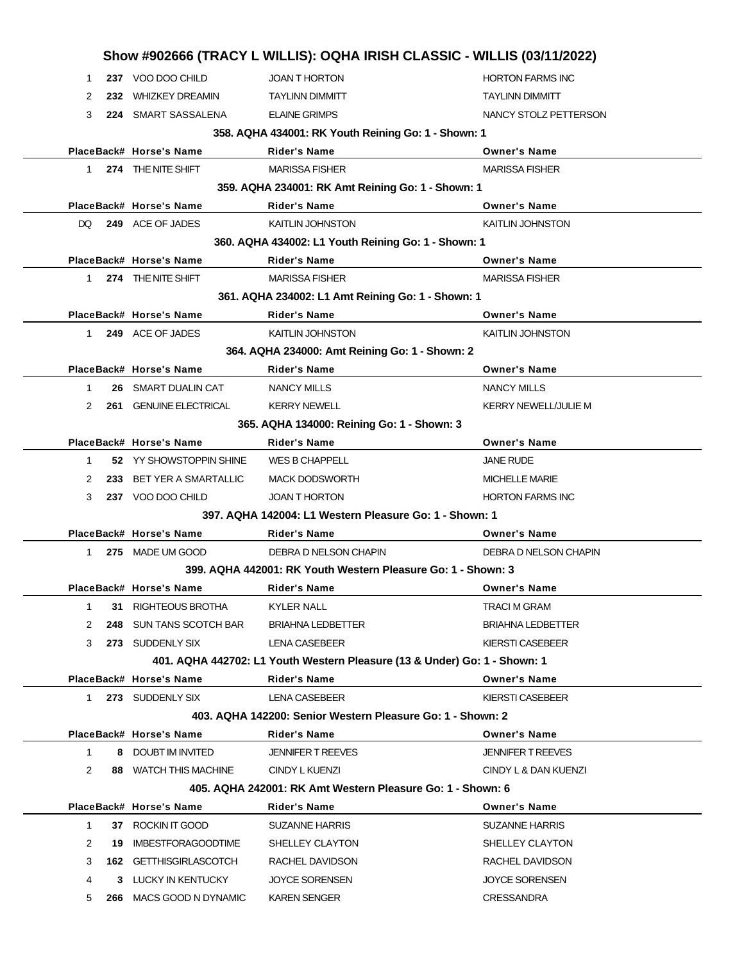|              |     |                             | Show #902666 (TRACY L WILLIS): OQHA IRISH CLASSIC - WILLIS (03/11/2022)   |                             |
|--------------|-----|-----------------------------|---------------------------------------------------------------------------|-----------------------------|
| 1            |     | 237 VOO DOO CHILD           | <b>JOAN T HORTON</b>                                                      | <b>HORTON FARMS INC</b>     |
| 2            |     | 232 WHIZKEY DREAMIN         | <b>TAYLINN DIMMITT</b>                                                    | <b>TAYLINN DIMMITT</b>      |
| 3            |     | 224 SMART SASSALENA         | <b>ELAINE GRIMPS</b>                                                      | NANCY STOLZ PETTERSON       |
|              |     |                             | 358. AQHA 434001: RK Youth Reining Go: 1 - Shown: 1                       |                             |
|              |     | PlaceBack# Horse's Name     | <b>Rider's Name</b>                                                       | <b>Owner's Name</b>         |
| $1 \quad$    |     | 274 THE NITE SHIFT          | <b>MARISSA FISHER</b>                                                     | <b>MARISSA FISHER</b>       |
|              |     |                             | 359. AQHA 234001: RK Amt Reining Go: 1 - Shown: 1                         |                             |
|              |     | PlaceBack# Horse's Name     | <b>Rider's Name</b>                                                       | <b>Owner's Name</b>         |
| DQ.          |     | 249 ACE OF JADES            | <b>KAITLIN JOHNSTON</b>                                                   | KAITLIN JOHNSTON            |
|              |     |                             | 360. AQHA 434002: L1 Youth Reining Go: 1 - Shown: 1                       |                             |
|              |     | PlaceBack# Horse's Name     | <b>Rider's Name</b>                                                       | <b>Owner's Name</b>         |
| $1 \quad$    |     | 274 THE NITE SHIFT          | <b>MARISSA FISHER</b>                                                     | <b>MARISSA FISHER</b>       |
|              |     |                             | 361. AQHA 234002: L1 Amt Reining Go: 1 - Shown: 1                         |                             |
|              |     | PlaceBack# Horse's Name     | <b>Rider's Name</b>                                                       | <b>Owner's Name</b>         |
| $1 \quad$    |     | 249 ACE OF JADES            | <b>KAITLIN JOHNSTON</b>                                                   | KAITLIN JOHNSTON            |
|              |     |                             | 364. AQHA 234000: Amt Reining Go: 1 - Shown: 2                            |                             |
|              |     | PlaceBack# Horse's Name     | <b>Rider's Name</b>                                                       | <b>Owner's Name</b>         |
| 1            |     | 26 SMART DUALIN CAT         | <b>NANCY MILLS</b>                                                        | <b>NANCY MILLS</b>          |
| 2            |     | 261 GENUINE ELECTRICAL      | <b>KERRY NEWELL</b>                                                       | <b>KERRY NEWELL/JULIE M</b> |
|              |     |                             | 365. AQHA 134000: Reining Go: 1 - Shown: 3                                |                             |
|              |     | PlaceBack# Horse's Name     | Rider's Name                                                              | <b>Owner's Name</b>         |
| 1            |     | 52 YY SHOWSTOPPIN SHINE     | <b>WES B CHAPPELL</b>                                                     | <b>JANE RUDE</b>            |
| 2            | 233 | <b>BET YER A SMARTALLIC</b> | <b>MACK DODSWORTH</b>                                                     | <b>MICHELLE MARIE</b>       |
| 3            |     | 237 VOO DOO CHILD           | <b>JOAN T HORTON</b>                                                      | <b>HORTON FARMS INC</b>     |
|              |     |                             | 397, AQHA 142004: L1 Western Pleasure Go: 1 - Shown: 1                    |                             |
|              |     | PlaceBack# Horse's Name     | Rider's Name                                                              | <b>Owner's Name</b>         |
| $1 \quad$    |     | 275 MADE UM GOOD            | DEBRA D NELSON CHAPIN                                                     | DEBRA D NELSON CHAPIN       |
|              |     |                             | 399. AQHA 442001: RK Youth Western Pleasure Go: 1 - Shown: 3              |                             |
|              |     | PlaceBack# Horse's Name     | Rider's Name                                                              | <b>Owner's Name</b>         |
| 1            | 31  | RIGHTEOUS BROTHA            | <b>KYLER NALL</b>                                                         | TRACI M GRAM                |
| 2            | 248 | SUN TANS SCOTCH BAR         | <b>BRIAHNA LEDBETTER</b>                                                  | <b>BRIAHNA LEDBETTER</b>    |
| 3            |     | 273 SUDDENLY SIX            | <b>LENA CASEBEER</b>                                                      | <b>KIERSTI CASEBEER</b>     |
|              |     |                             | 401. AQHA 442702: L1 Youth Western Pleasure (13 & Under) Go: 1 - Shown: 1 |                             |
|              |     | PlaceBack# Horse's Name     | <b>Rider's Name</b>                                                       | <b>Owner's Name</b>         |
| 1            |     | 273 SUDDENLY SIX            | LENA CASEBEER                                                             | <b>KIERSTI CASEBEER</b>     |
|              |     |                             | 403. AQHA 142200: Senior Western Pleasure Go: 1 - Shown: 2                |                             |
|              |     | PlaceBack# Horse's Name     | Rider's Name                                                              | <b>Owner's Name</b>         |
| $\mathbf{1}$ | 8   | DOUBT IM INVITED            | <b>JENNIFER T REEVES</b>                                                  | <b>JENNIFER T REEVES</b>    |
| 2            |     | 88 WATCH THIS MACHINE       | CINDY L KUENZI                                                            | CINDY L & DAN KUENZI        |
|              |     |                             | 405. AQHA 242001: RK Amt Western Pleasure Go: 1 - Shown: 6                |                             |
|              |     | PlaceBack# Horse's Name     | Rider's Name                                                              | <b>Owner's Name</b>         |
| $\mathbf{1}$ |     | 37 ROCKIN IT GOOD           | <b>SUZANNE HARRIS</b>                                                     | <b>SUZANNE HARRIS</b>       |
| 2            | 19  | <b>IMBESTFORAGOODTIME</b>   | SHELLEY CLAYTON                                                           | SHELLEY CLAYTON             |
| 3            |     | 162 GETTHISGIRLASCOTCH      | RACHEL DAVIDSON                                                           | RACHEL DAVIDSON             |
| 4            | 3.  | LUCKY IN KENTUCKY           | <b>JOYCE SORENSEN</b>                                                     | <b>JOYCE SORENSEN</b>       |
| 5            |     | 266 MACS GOOD N DYNAMIC     | <b>KAREN SENGER</b>                                                       | CRESSANDRA                  |
|              |     |                             |                                                                           |                             |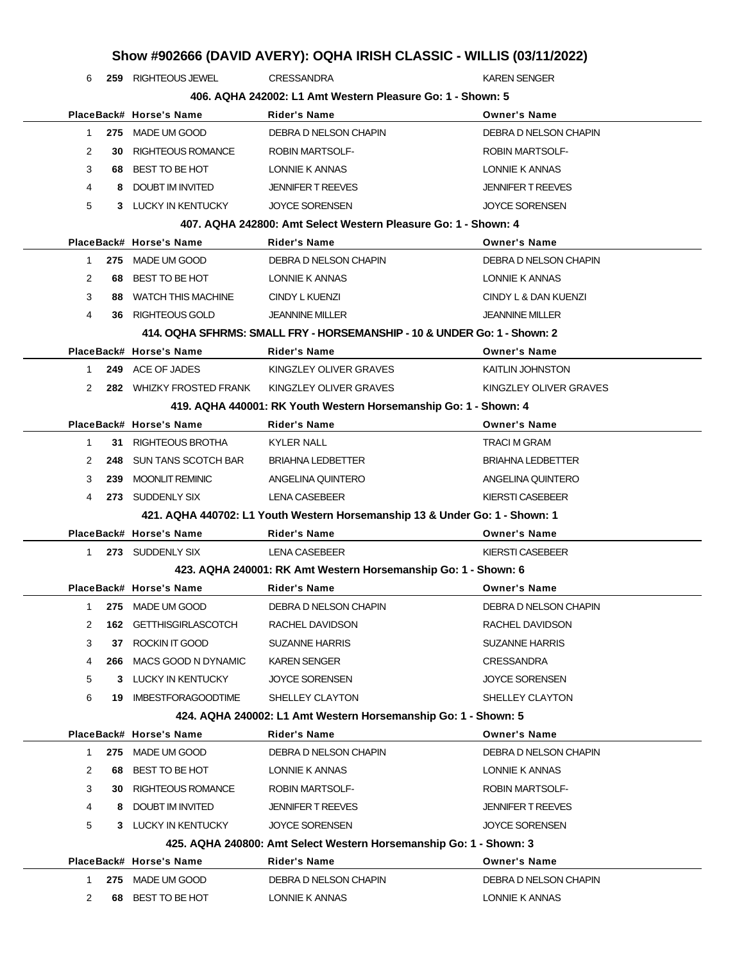# **Show #902666 (DAVID AVERY): OQHA IRISH CLASSIC - WILLIS (03/11/2022)**

**259** RIGHTEOUS JEWEL CRESSANDRA CRESSAND RAND KAREN SENGER

| 406. AQHA 242002: L1 Amt Western Pleasure Go: 1 - Shown: 5 |     |                              |                                                                             |                          |
|------------------------------------------------------------|-----|------------------------------|-----------------------------------------------------------------------------|--------------------------|
|                                                            |     | PlaceBack# Horse's Name      | <b>Rider's Name</b>                                                         | <b>Owner's Name</b>      |
| $\mathbf{1}$                                               |     | 275 MADE UM GOOD             | DEBRA D NELSON CHAPIN                                                       | DEBRA D NELSON CHAPIN    |
| 2                                                          | 30  | <b>RIGHTEOUS ROMANCE</b>     | <b>ROBIN MARTSOLF-</b>                                                      | <b>ROBIN MARTSOLF-</b>   |
| 3                                                          | 68  | BEST TO BE HOT               | LONNIE K ANNAS                                                              | LONNIE K ANNAS           |
| 4                                                          | 8   | <b>DOUBT IM INVITED</b>      | <b>JENNIFER T REEVES</b>                                                    | <b>JENNIFER T REEVES</b> |
| 5                                                          |     | 3 LUCKY IN KENTUCKY          | <b>JOYCE SORENSEN</b>                                                       | <b>JOYCE SORENSEN</b>    |
|                                                            |     |                              | 407. AQHA 242800: Amt Select Western Pleasure Go: 1 - Shown: 4              |                          |
|                                                            |     | PlaceBack# Horse's Name      | <b>Rider's Name</b>                                                         | <b>Owner's Name</b>      |
| $\mathbf{1}$                                               |     | 275 MADE UM GOOD             | DEBRA D NELSON CHAPIN                                                       | DEBRA D NELSON CHAPIN    |
| 2                                                          | 68  | BEST TO BE HOT               | LONNIE K ANNAS                                                              | LONNIE K ANNAS           |
| 3                                                          |     | <b>88 WATCH THIS MACHINE</b> | CINDY L KUENZI                                                              | CINDY L & DAN KUENZI     |
| 4                                                          | 36. | RIGHTEOUS GOLD               | <b>JEANNINE MILLER</b>                                                      | <b>JEANNINE MILLER</b>   |
|                                                            |     |                              | 414. OQHA SFHRMS: SMALL FRY - HORSEMANSHIP - 10 & UNDER Go: 1 - Shown: 2    |                          |
|                                                            |     | PlaceBack# Horse's Name      | Rider's Name                                                                | <b>Owner's Name</b>      |
| $\mathbf{1}$                                               |     | 249 ACE OF JADES             | KINGZLEY OLIVER GRAVES                                                      | <b>KAITLIN JOHNSTON</b>  |
| $\mathcal{P}$                                              |     | 282 WHIZKY FROSTED FRANK     | KINGZLEY OLIVER GRAVES                                                      | KINGZLEY OLIVER GRAVES   |
|                                                            |     |                              | 419. AQHA 440001: RK Youth Western Horsemanship Go: 1 - Shown: 4            |                          |
|                                                            |     | PlaceBack# Horse's Name      | <b>Rider's Name</b>                                                         | <b>Owner's Name</b>      |
| $\mathbf{1}$                                               |     | 31 RIGHTEOUS BROTHA          | <b>KYLER NALL</b>                                                           | <b>TRACI M GRAM</b>      |
| 2                                                          |     | 248 SUN TANS SCOTCH BAR      | <b>BRIAHNA LEDBETTER</b>                                                    | <b>BRIAHNA LEDBETTER</b> |
| 3                                                          | 239 | <b>MOONLIT REMINIC</b>       | ANGELINA QUINTERO                                                           | ANGELINA QUINTERO        |
| 4                                                          |     | 273 SUDDENLY SIX             | <b>LENA CASEBEER</b>                                                        | KIERSTI CASEBEER         |
|                                                            |     |                              | 421. AQHA 440702: L1 Youth Western Horsemanship 13 & Under Go: 1 - Shown: 1 |                          |
|                                                            |     | PlaceBack# Horse's Name      | Rider's Name                                                                | <b>Owner's Name</b>      |
| 1                                                          |     | 273 SUDDENLY SIX             | <b>LENA CASEBEER</b>                                                        | <b>KIERSTI CASEBEER</b>  |
|                                                            |     |                              | 423. AQHA 240001: RK Amt Western Horsemanship Go: 1 - Shown: 6              |                          |
|                                                            |     | PlaceBack# Horse's Name      | <b>Rider's Name</b>                                                         | <b>Owner's Name</b>      |
| 1                                                          |     | 275 MADE UM GOOD             | DEBRA D NELSON CHAPIN                                                       | DEBRA D NELSON CHAPIN    |
| 2                                                          |     | 162 GETTHISGIRLASCOTCH       | RACHEL DAVIDSON                                                             | RACHEL DAVIDSON          |
| 3                                                          | 37  | ROCKIN IT GOOD               | <b>SUZANNE HARRIS</b>                                                       | <b>SUZANNE HARRIS</b>    |
| 4                                                          | 266 | MACS GOOD N DYNAMIC          | <b>KAREN SENGER</b>                                                         | <b>CRESSANDRA</b>        |
| 5                                                          | 3   | LUCKY IN KENTUCKY            | <b>JOYCE SORENSEN</b>                                                       | <b>JOYCE SORENSEN</b>    |
| 6                                                          |     | 19 IMBESTFORAGOODTIME        | SHELLEY CLAYTON                                                             | SHELLEY CLAYTON          |
|                                                            |     |                              | 424. AQHA 240002: L1 Amt Western Horsemanship Go: 1 - Shown: 5              |                          |
|                                                            |     | PlaceBack# Horse's Name      | Rider's Name                                                                | <b>Owner's Name</b>      |
| 1                                                          | 275 | MADE UM GOOD                 | DEBRA D NELSON CHAPIN                                                       | DEBRA D NELSON CHAPIN    |
| 2                                                          | 68  | BEST TO BE HOT               | LONNIE K ANNAS                                                              | LONNIE K ANNAS           |
| 3                                                          | 30  | RIGHTEOUS ROMANCE            | ROBIN MARTSOLF-                                                             | <b>ROBIN MARTSOLF-</b>   |
| 4                                                          | 8   | DOUBT IM INVITED             | <b>JENNIFER T REEVES</b>                                                    | JENNIFER T REEVES        |
| 5                                                          |     | 3 LUCKY IN KENTUCKY          | <b>JOYCE SORENSEN</b>                                                       | <b>JOYCE SORENSEN</b>    |
|                                                            |     |                              | 425. AQHA 240800: Amt Select Western Horsemanship Go: 1 - Shown: 3          |                          |
|                                                            |     | PlaceBack# Horse's Name      | Rider's Name                                                                | <b>Owner's Name</b>      |
| 1                                                          |     | 275 MADE UM GOOD             | DEBRA D NELSON CHAPIN                                                       | DEBRA D NELSON CHAPIN    |
| 2                                                          | 68  | BEST TO BE HOT               | LONNIE K ANNAS                                                              | LONNIE K ANNAS           |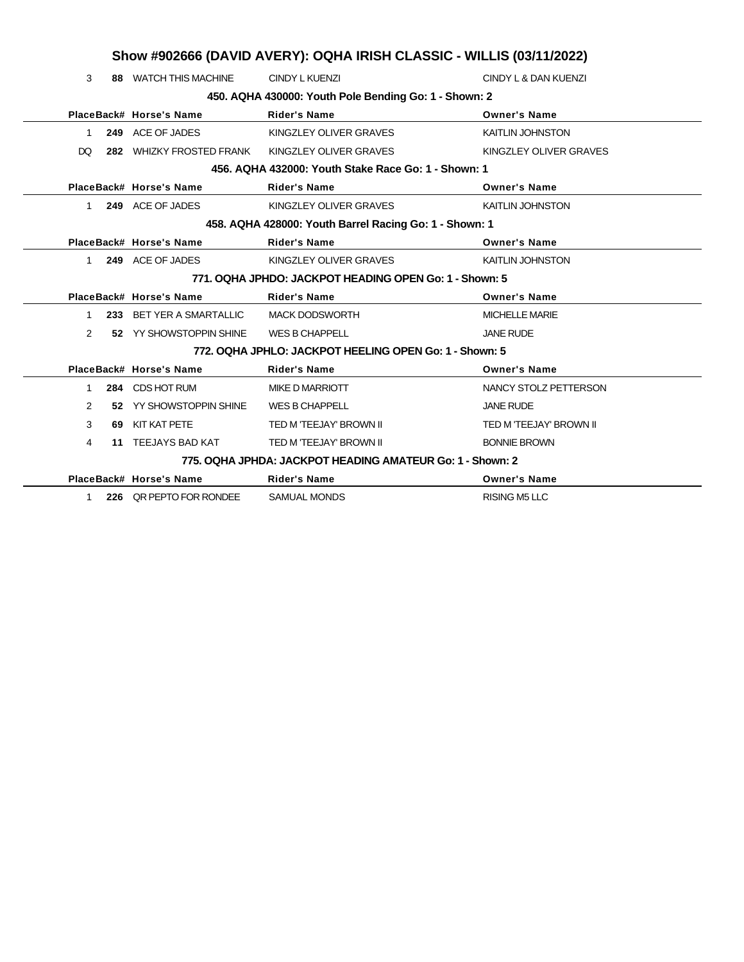|                | Show #902666 (DAVID AVERY): OQHA IRISH CLASSIC - WILLIS (03/11/2022) |                          |                                                           |                         |  |
|----------------|----------------------------------------------------------------------|--------------------------|-----------------------------------------------------------|-------------------------|--|
| 3              |                                                                      | 88 WATCH THIS MACHINE    | <b>CINDY L KUENZI</b>                                     | CINDY L & DAN KUENZI    |  |
|                |                                                                      |                          | 450. AQHA 430000: Youth Pole Bending Go: 1 - Shown: 2     |                         |  |
|                |                                                                      | PlaceBack# Horse's Name  | <b>Rider's Name</b>                                       | <b>Owner's Name</b>     |  |
| 1              |                                                                      | 249 ACE OF JADES         | KINGZLEY OLIVER GRAVES                                    | <b>KAITLIN JOHNSTON</b> |  |
| DQ.            |                                                                      | 282 WHIZKY FROSTED FRANK | KINGZLEY OLIVER GRAVES                                    | KINGZLEY OLIVER GRAVES  |  |
|                |                                                                      |                          | 456. AQHA 432000: Youth Stake Race Go: 1 - Shown: 1       |                         |  |
|                |                                                                      | PlaceBack# Horse's Name  | <b>Rider's Name</b>                                       | <b>Owner's Name</b>     |  |
| 1.             |                                                                      | 249 ACE OF JADES         | KINGZLEY OLIVER GRAVES                                    | <b>KAITLIN JOHNSTON</b> |  |
|                |                                                                      |                          | 458. AQHA 428000: Youth Barrel Racing Go: 1 - Shown: 1    |                         |  |
|                |                                                                      | PlaceBack# Horse's Name  | <b>Rider's Name</b>                                       | <b>Owner's Name</b>     |  |
| $\mathbf{1}$   |                                                                      | 249 ACE OF JADES         | KINGZLEY OLIVER GRAVES                                    | <b>KAITLIN JOHNSTON</b> |  |
|                |                                                                      |                          | 771, OQHA JPHDO: JACKPOT HEADING OPEN Go: 1 - Shown: 5    |                         |  |
|                |                                                                      | PlaceBack# Horse's Name  | <b>Rider's Name</b>                                       | <b>Owner's Name</b>     |  |
| $\mathbf{1}$   |                                                                      | 233 BET YER A SMARTALLIC | <b>MACK DODSWORTH</b>                                     | <b>MICHELLE MARIE</b>   |  |
| $\overline{2}$ |                                                                      | 52 YY SHOWSTOPPIN SHINE  | <b>WES B CHAPPELL</b>                                     | <b>JANE RUDE</b>        |  |
|                |                                                                      |                          | 772. OQHA JPHLO: JACKPOT HEELING OPEN Go: 1 - Shown: 5    |                         |  |
|                |                                                                      | PlaceBack# Horse's Name  | <b>Rider's Name</b>                                       | <b>Owner's Name</b>     |  |
| $\mathbf{1}$   |                                                                      | 284 CDS HOT RUM          | <b>MIKE D MARRIOTT</b>                                    | NANCY STOLZ PETTERSON   |  |
| $\overline{2}$ |                                                                      | 52 YY SHOWSTOPPIN SHINE  | <b>WES B CHAPPELL</b>                                     | <b>JANE RUDE</b>        |  |
| 3              |                                                                      | 69 KIT KAT PETE          | TED M 'TEEJAY' BROWN II                                   | TED M 'TEEJAY' BROWN II |  |
| 4              |                                                                      | 11 TEEJAYS BAD KAT       | TED M 'TEEJAY' BROWN II                                   | <b>BONNIE BROWN</b>     |  |
|                |                                                                      |                          | 775, OQHA JPHDA: JACKPOT HEADING AMATEUR Go: 1 - Shown: 2 |                         |  |
|                |                                                                      | PlaceBack# Horse's Name  | <b>Rider's Name</b>                                       | <b>Owner's Name</b>     |  |
| 1              |                                                                      | 226 QR PEPTO FOR RONDEE  | <b>SAMUAL MONDS</b>                                       | <b>RISING M5 LLC</b>    |  |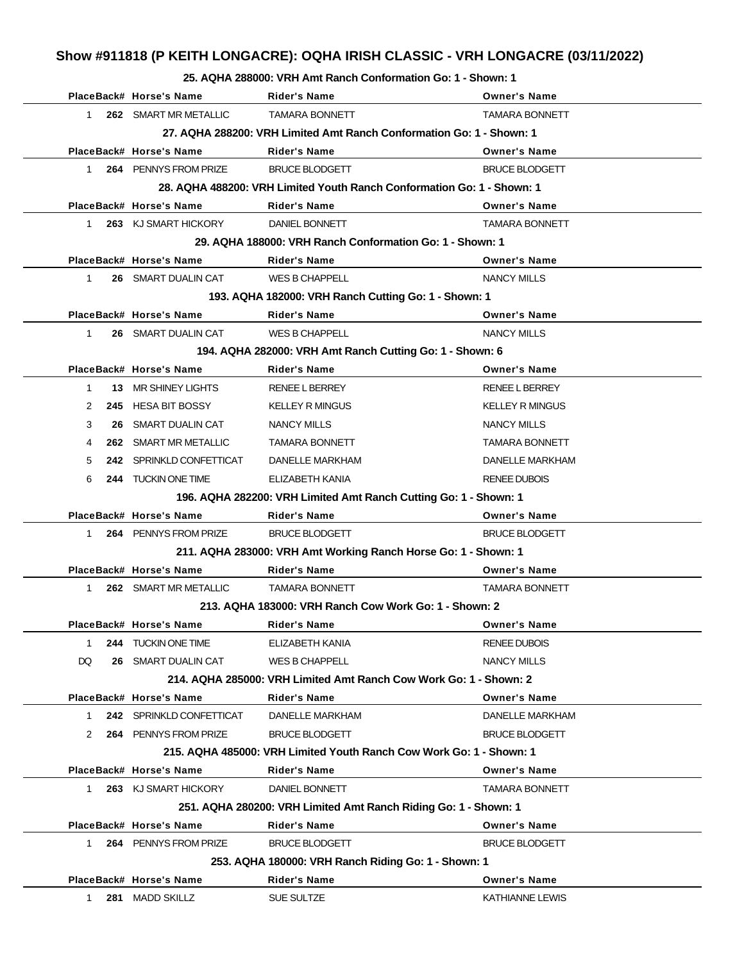# **Show #911818 (P KEITH LONGACRE): OQHA IRISH CLASSIC - VRH LONGACRE (03/11/2022)**

#### **25. AQHA 288000: VRH Amt Ranch Conformation Go: 1 - Shown: 1**

|              | PlaceBack# Horse's Name  | Rider's Name                                                           | <b>Owner's Name</b>    |
|--------------|--------------------------|------------------------------------------------------------------------|------------------------|
| $\mathbf{1}$ | 262 SMART MR METALLIC    | <b>TAMARA BONNETT</b>                                                  | <b>TAMARA BONNETT</b>  |
|              |                          | 27. AQHA 288200: VRH Limited Amt Ranch Conformation Go: 1 - Shown: 1   |                        |
|              | PlaceBack# Horse's Name  | <b>Rider's Name</b>                                                    | <b>Owner's Name</b>    |
| $\mathbf{1}$ | 264 PENNYS FROM PRIZE    | <b>BRUCE BLODGETT</b>                                                  | <b>BRUCE BLODGETT</b>  |
|              |                          | 28. AQHA 488200: VRH Limited Youth Ranch Conformation Go: 1 - Shown: 1 |                        |
|              | PlaceBack# Horse's Name  | <b>Rider's Name</b>                                                    | <b>Owner's Name</b>    |
| 1            | 263 KJ SMART HICKORY     | DANIEL BONNETT                                                         | <b>TAMARA BONNETT</b>  |
|              |                          | 29. AQHA 188000: VRH Ranch Conformation Go: 1 - Shown: 1               |                        |
|              | PlaceBack# Horse's Name  | <b>Rider's Name</b>                                                    | <b>Owner's Name</b>    |
| $\mathbf{1}$ | 26 SMART DUALIN CAT      | <b>WES B CHAPPELL</b>                                                  | <b>NANCY MILLS</b>     |
|              |                          | 193. AQHA 182000: VRH Ranch Cutting Go: 1 - Shown: 1                   |                        |
|              | PlaceBack# Horse's Name  | <b>Rider's Name</b>                                                    | <b>Owner's Name</b>    |
| $\mathbf{1}$ | 26 SMART DUALIN CAT      | <b>WES B CHAPPELL</b>                                                  | <b>NANCY MILLS</b>     |
|              |                          | 194. AQHA 282000: VRH Amt Ranch Cutting Go: 1 - Shown: 6               |                        |
|              | PlaceBack# Horse's Name  | <b>Rider's Name</b>                                                    | <b>Owner's Name</b>    |
| $\mathbf 1$  | 13 MR SHINEY LIGHTS      | <b>RENEE L BERREY</b>                                                  | <b>RENEE L BERREY</b>  |
| 2            | 245 HESA BIT BOSSY       | <b>KELLEY R MINGUS</b>                                                 | <b>KELLEY R MINGUS</b> |
| 3            | 26 SMART DUALIN CAT      | NANCY MILLS                                                            | NANCY MILLS            |
| 4            | 262 SMART MR METALLIC    | TAMARA BONNETT                                                         | TAMARA BONNETT         |
| 5            | 242 SPRINKLD CONFETTICAT | DANELLE MARKHAM                                                        | <b>DANELLE MARKHAM</b> |
| 6            | 244 TUCKIN ONE TIME      | ELIZABETH KANIA                                                        | <b>RENEE DUBOIS</b>    |
|              |                          | 196. AQHA 282200: VRH Limited Amt Ranch Cutting Go: 1 - Shown: 1       |                        |
|              | PlaceBack# Horse's Name  | <b>Rider's Name</b>                                                    | <b>Owner's Name</b>    |
| 1            | 264 PENNYS FROM PRIZE    | <b>BRUCE BLODGETT</b>                                                  | <b>BRUCE BLODGETT</b>  |
|              |                          | 211. AQHA 283000: VRH Amt Working Ranch Horse Go: 1 - Shown: 1         |                        |
|              | PlaceBack# Horse's Name  | Rider's Name                                                           | <b>Owner's Name</b>    |
| $\mathbf{1}$ | 262 SMART MR METALLIC    | <b>TAMARA BONNETT</b>                                                  | <b>TAMARA BONNETT</b>  |
|              |                          | 213. AQHA 183000: VRH Ranch Cow Work Go: 1 - Shown: 2                  |                        |
|              | PlaceBack# Horse's Name  | Rider's Name                                                           | <b>Owner's Name</b>    |
| 1            | 244 TUCKIN ONE TIME      | ELIZABETH KANIA                                                        | <b>RENEE DUBOIS</b>    |
| DQ           | 26 SMART DUALIN CAT      | <b>WES B CHAPPELL</b>                                                  | <b>NANCY MILLS</b>     |
|              |                          | 214, AQHA 285000: VRH Limited Amt Ranch Cow Work Go: 1 - Shown: 2      |                        |
|              | PlaceBack# Horse's Name  | <b>Rider's Name</b>                                                    | <b>Owner's Name</b>    |
| 1            | 242 SPRINKLD CONFETTICAT | DANELLE MARKHAM                                                        | DANELLE MARKHAM        |
| 2            | 264 PENNYS FROM PRIZE    | <b>BRUCE BLODGETT</b>                                                  | <b>BRUCE BLODGETT</b>  |
|              |                          | 215. AQHA 485000: VRH Limited Youth Ranch Cow Work Go: 1 - Shown: 1    |                        |
|              | PlaceBack# Horse's Name  | Rider's Name                                                           | <b>Owner's Name</b>    |
| 1.           | 263 KJ SMART HICKORY     | DANIEL BONNETT                                                         | <b>TAMARA BONNETT</b>  |
|              |                          | 251. AQHA 280200: VRH Limited Amt Ranch Riding Go: 1 - Shown: 1        |                        |
|              | PlaceBack# Horse's Name  | <b>Rider's Name</b>                                                    | <b>Owner's Name</b>    |
| $\mathbf{1}$ | 264 PENNYS FROM PRIZE    | <b>BRUCE BLODGETT</b>                                                  | <b>BRUCE BLODGETT</b>  |
|              |                          | 253. AQHA 180000: VRH Ranch Riding Go: 1 - Shown: 1                    |                        |
|              | PlaceBack# Horse's Name  | <b>Rider's Name</b>                                                    | <b>Owner's Name</b>    |
| $\mathbf{1}$ | 281 MADD SKILLZ          | SUE SULTZE                                                             | <b>KATHIANNE LEWIS</b> |
|              |                          |                                                                        |                        |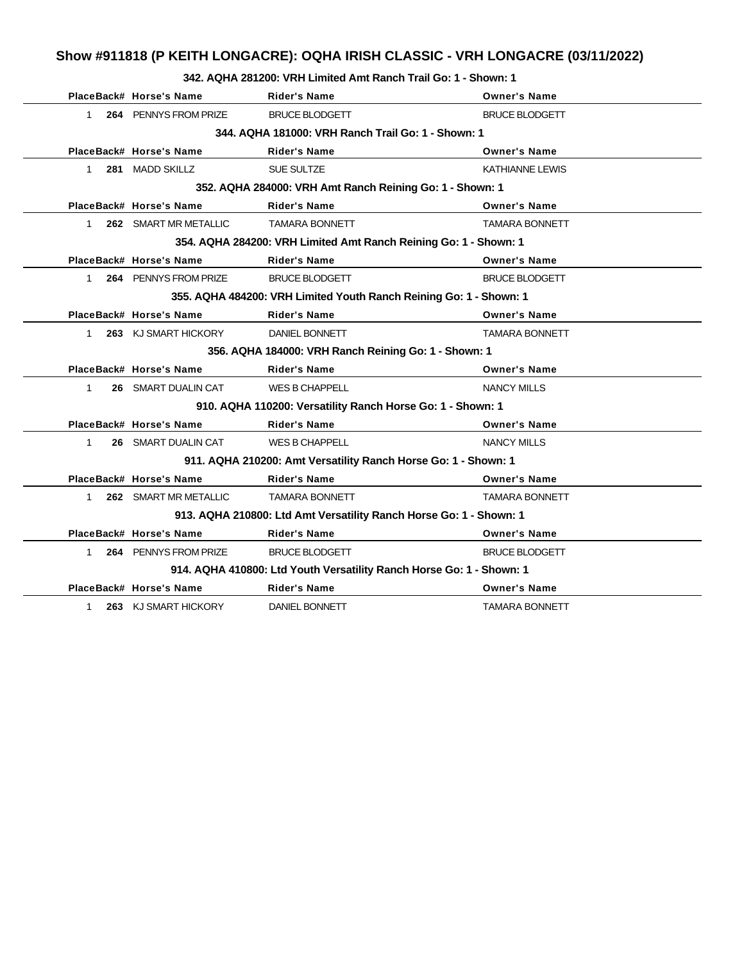# **Show #911818 (P KEITH LONGACRE): OQHA IRISH CLASSIC - VRH LONGACRE (03/11/2022)**

### **342. AQHA 281200: VRH Limited Amt Ranch Trail Go: 1 - Shown: 1**

|              | PlaceBack# Horse's Name                            | <b>Rider's Name</b>                                                  | <b>Owner's Name</b>    |  |  |
|--------------|----------------------------------------------------|----------------------------------------------------------------------|------------------------|--|--|
| $\mathbf{1}$ | 264 PENNYS FROM PRIZE                              | <b>BRUCE BLODGETT</b>                                                | <b>BRUCE BLODGETT</b>  |  |  |
|              | 344. AQHA 181000: VRH Ranch Trail Go: 1 - Shown: 1 |                                                                      |                        |  |  |
|              | PlaceBack# Horse's Name                            | <b>Rider's Name</b>                                                  | <b>Owner's Name</b>    |  |  |
| $\mathbf{1}$ | 281 MADD SKILLZ                                    | <b>SUE SULTZE</b>                                                    | <b>KATHIANNE LEWIS</b> |  |  |
|              |                                                    | 352. AQHA 284000: VRH Amt Ranch Reining Go: 1 - Shown: 1             |                        |  |  |
|              | PlaceBack# Horse's Name                            | <b>Rider's Name</b>                                                  | <b>Owner's Name</b>    |  |  |
| 1            | 262 SMART MR METALLIC                              | <b>TAMARA BONNETT</b>                                                | <b>TAMARA BONNETT</b>  |  |  |
|              |                                                    | 354. AQHA 284200: VRH Limited Amt Ranch Reining Go: 1 - Shown: 1     |                        |  |  |
|              | PlaceBack# Horse's Name                            | <b>Rider's Name</b>                                                  | <b>Owner's Name</b>    |  |  |
| $\mathbf{1}$ | 264 PENNYS FROM PRIZE                              | <b>BRUCE BLODGETT</b>                                                | <b>BRUCE BLODGETT</b>  |  |  |
|              |                                                    | 355. AQHA 484200: VRH Limited Youth Ranch Reining Go: 1 - Shown: 1   |                        |  |  |
|              | PlaceBack# Horse's Name                            | <b>Rider's Name</b>                                                  | <b>Owner's Name</b>    |  |  |
| $\mathbf{1}$ | 263 KJ SMART HICKORY                               | DANIEL BONNETT                                                       | <b>TAMARA BONNETT</b>  |  |  |
|              |                                                    | 356. AQHA 184000: VRH Ranch Reining Go: 1 - Shown: 1                 |                        |  |  |
|              | PlaceBack# Horse's Name                            | <b>Rider's Name</b>                                                  | <b>Owner's Name</b>    |  |  |
| 1            | 26 SMART DUALIN CAT                                | <b>WES B CHAPPELL</b>                                                | <b>NANCY MILLS</b>     |  |  |
|              |                                                    | 910. AQHA 110200: Versatility Ranch Horse Go: 1 - Shown: 1           |                        |  |  |
|              | PlaceBack# Horse's Name                            | <b>Rider's Name</b>                                                  | <b>Owner's Name</b>    |  |  |
| 1            | <b>26 SMART DUALIN CAT</b>                         | <b>WES B CHAPPELL</b>                                                | <b>NANCY MILLS</b>     |  |  |
|              |                                                    | 911. AQHA 210200: Amt Versatility Ranch Horse Go: 1 - Shown: 1       |                        |  |  |
|              | PlaceBack# Horse's Name                            | <b>Rider's Name</b>                                                  | <b>Owner's Name</b>    |  |  |
| $\mathbf{1}$ | 262 SMART MR METALLIC                              | <b>TAMARA BONNETT</b>                                                | <b>TAMARA BONNETT</b>  |  |  |
|              |                                                    | 913. AQHA 210800: Ltd Amt Versatility Ranch Horse Go: 1 - Shown: 1   |                        |  |  |
|              | PlaceBack# Horse's Name                            | <b>Rider's Name</b>                                                  | <b>Owner's Name</b>    |  |  |
| $\mathbf{1}$ | 264 PENNYS FROM PRIZE                              | <b>BRUCE BLODGETT</b>                                                | <b>BRUCE BLODGETT</b>  |  |  |
|              |                                                    | 914. AQHA 410800: Ltd Youth Versatility Ranch Horse Go: 1 - Shown: 1 |                        |  |  |
|              | PlaceBack# Horse's Name                            | <b>Rider's Name</b>                                                  | <b>Owner's Name</b>    |  |  |
| $\mathbf 1$  | 263 KJ SMART HICKORY                               | DANIEL BONNETT                                                       | TAMARA BONNETT         |  |  |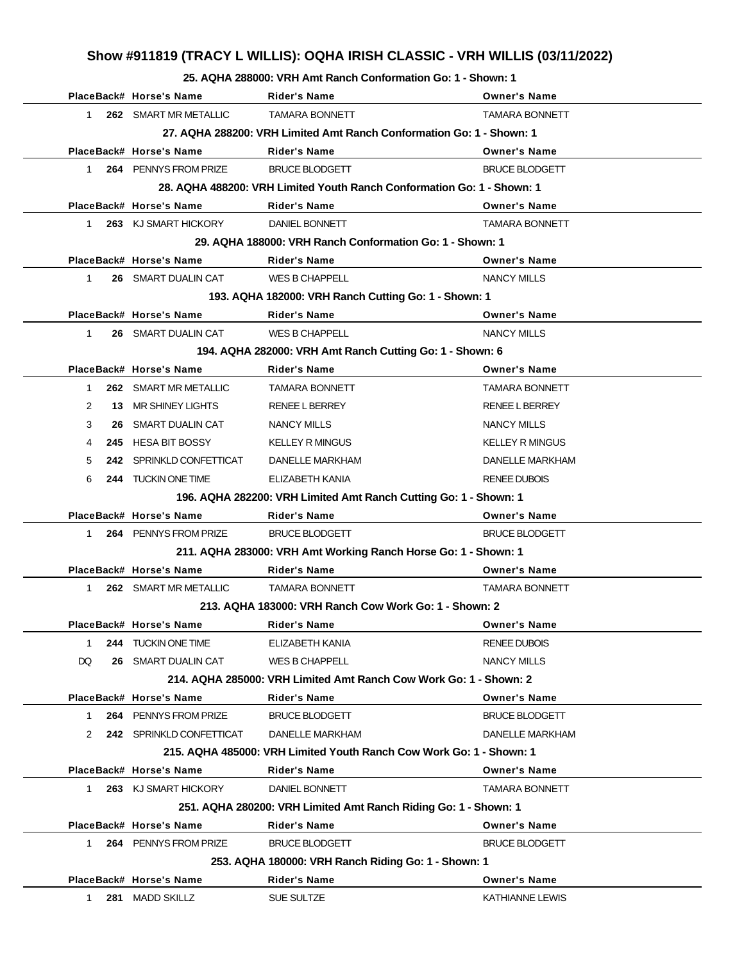# **Show #911819 (TRACY L WILLIS): OQHA IRISH CLASSIC - VRH WILLIS (03/11/2022)**

### **25. AQHA 288000: VRH Amt Ranch Conformation Go: 1 - Shown: 1**

|                |    | PlaceBack# Horse's Name  | <b>Rider's Name</b>                                                    | <b>Owner's Name</b>    |
|----------------|----|--------------------------|------------------------------------------------------------------------|------------------------|
| $\mathbf{1}$   |    | 262 SMART MR METALLIC    | <b>TAMARA BONNETT</b>                                                  | <b>TAMARA BONNETT</b>  |
|                |    |                          | 27. AQHA 288200: VRH Limited Amt Ranch Conformation Go: 1 - Shown: 1   |                        |
|                |    | PlaceBack# Horse's Name  | <b>Rider's Name</b>                                                    | <b>Owner's Name</b>    |
| $\mathbf 1$    |    | 264 PENNYS FROM PRIZE    | <b>BRUCE BLODGETT</b>                                                  | <b>BRUCE BLODGETT</b>  |
|                |    |                          | 28. AQHA 488200: VRH Limited Youth Ranch Conformation Go: 1 - Shown: 1 |                        |
|                |    | PlaceBack# Horse's Name  | <b>Rider's Name</b>                                                    | <b>Owner's Name</b>    |
| 1              |    | 263 KJ SMART HICKORY     | <b>DANIEL BONNETT</b>                                                  | <b>TAMARA BONNETT</b>  |
|                |    |                          | 29. AQHA 188000: VRH Ranch Conformation Go: 1 - Shown: 1               |                        |
|                |    | PlaceBack# Horse's Name  | <b>Rider's Name</b>                                                    | <b>Owner's Name</b>    |
| 1              |    | 26 SMART DUALIN CAT      | <b>WES B CHAPPELL</b>                                                  | <b>NANCY MILLS</b>     |
|                |    |                          | 193. AQHA 182000: VRH Ranch Cutting Go: 1 - Shown: 1                   |                        |
|                |    | PlaceBack# Horse's Name  | <b>Rider's Name</b>                                                    | <b>Owner's Name</b>    |
| 1              |    | 26 SMART DUALIN CAT      | <b>WES B CHAPPELL</b>                                                  | <b>NANCY MILLS</b>     |
|                |    |                          | 194. AQHA 282000: VRH Amt Ranch Cutting Go: 1 - Shown: 6               |                        |
|                |    | PlaceBack# Horse's Name  | <b>Rider's Name</b>                                                    | <b>Owner's Name</b>    |
| $\mathbf{1}$   |    | 262 SMART MR METALLIC    | <b>TAMARA BONNETT</b>                                                  | TAMARA BONNETT         |
| $\overline{2}$ |    | 13 MR SHINEY LIGHTS      | RENEE L BERREY                                                         | <b>RENEE L BERREY</b>  |
| 3              |    | 26 SMART DUALIN CAT      | NANCY MILLS                                                            | NANCY MILLS            |
| 4              |    | 245 HESA BIT BOSSY       | <b>KELLEY R MINGUS</b>                                                 | <b>KELLEY R MINGUS</b> |
| 5              |    | 242 SPRINKLD CONFETTICAT | DANELLE MARKHAM                                                        | DANELLE MARKHAM        |
| 6              |    | 244 TUCKIN ONE TIME      | ELIZABETH KANIA                                                        | <b>RENEE DUBOIS</b>    |
|                |    |                          | 196. AQHA 282200: VRH Limited Amt Ranch Cutting Go: 1 - Shown: 1       |                        |
|                |    | PlaceBack# Horse's Name  | <b>Rider's Name</b>                                                    | <b>Owner's Name</b>    |
| $\mathbf 1$    |    | 264 PENNYS FROM PRIZE    | <b>BRUCE BLODGETT</b>                                                  | <b>BRUCE BLODGETT</b>  |
|                |    |                          | 211. AQHA 283000: VRH Amt Working Ranch Horse Go: 1 - Shown: 1         |                        |
|                |    | PlaceBack# Horse's Name  | Rider's Name                                                           | <b>Owner's Name</b>    |
| $\mathbf{1}$   |    | 262 SMART MR METALLIC    | <b>TAMARA BONNETT</b>                                                  | <b>TAMARA BONNETT</b>  |
|                |    |                          | 213. AQHA 183000: VRH Ranch Cow Work Go: 1 - Shown: 2                  |                        |
|                |    | PlaceBack# Horse's Name  | Rider's Name                                                           | <b>Owner's Name</b>    |
| 1              |    | 244 TUCKIN ONE TIME      | ELIZABETH KANIA                                                        | <b>RENEE DUBOIS</b>    |
| DQ             | 26 | SMART DUALIN CAT         | <b>WES B CHAPPELL</b>                                                  | <b>NANCY MILLS</b>     |
|                |    |                          | 214, AQHA 285000: VRH Limited Amt Ranch Cow Work Go: 1 - Shown: 2      |                        |
|                |    | PlaceBack# Horse's Name  | <b>Rider's Name</b>                                                    | <b>Owner's Name</b>    |
| 1              |    | 264 PENNYS FROM PRIZE    | <b>BRUCE BLODGETT</b>                                                  | <b>BRUCE BLODGETT</b>  |
| 2              |    | 242 SPRINKLD CONFETTICAT | DANELLE MARKHAM                                                        | DANELLE MARKHAM        |
|                |    |                          | 215, AQHA 485000: VRH Limited Youth Ranch Cow Work Go: 1 - Shown: 1    |                        |
|                |    | PlaceBack# Horse's Name  | <b>Rider's Name</b>                                                    | <b>Owner's Name</b>    |
| 1              |    | 263 KJ SMART HICKORY     | DANIEL BONNETT                                                         | <b>TAMARA BONNETT</b>  |
|                |    |                          | 251. AQHA 280200: VRH Limited Amt Ranch Riding Go: 1 - Shown: 1        |                        |
|                |    | PlaceBack# Horse's Name  | <b>Rider's Name</b>                                                    | <b>Owner's Name</b>    |
| 1.             |    | 264 PENNYS FROM PRIZE    | <b>BRUCE BLODGETT</b>                                                  | <b>BRUCE BLODGETT</b>  |
|                |    |                          | 253. AQHA 180000: VRH Ranch Riding Go: 1 - Shown: 1                    |                        |
|                |    | PlaceBack# Horse's Name  | <b>Rider's Name</b>                                                    | <b>Owner's Name</b>    |
| 1.             |    | 281 MADD SKILLZ          | SUE SULTZE                                                             | <b>KATHIANNE LEWIS</b> |
|                |    |                          |                                                                        |                        |